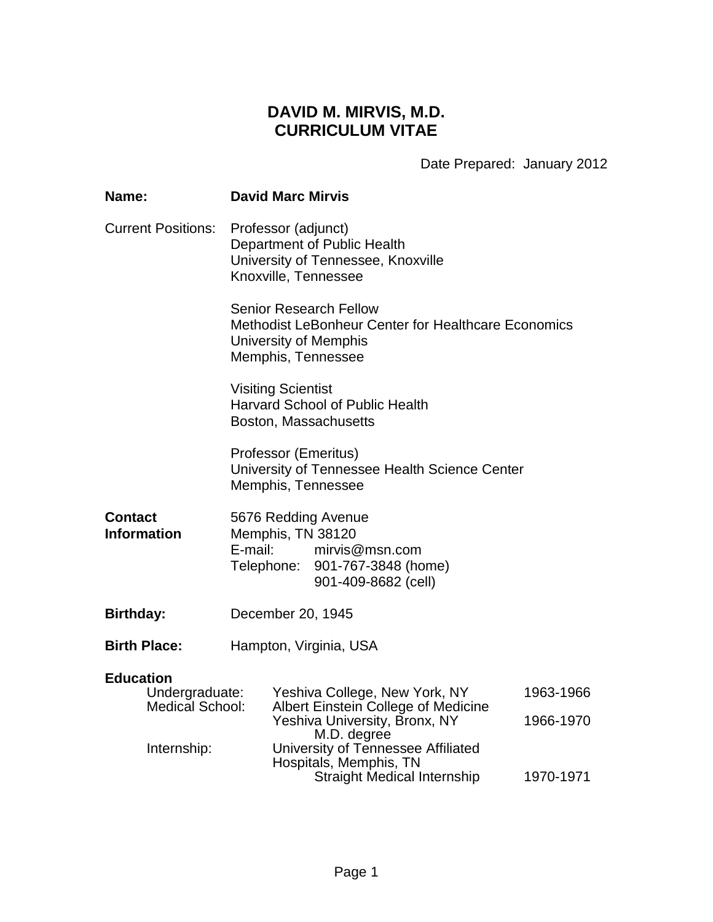# **DAVID M. MIRVIS, M.D. CURRICULUM VITAE**

Date Prepared: January 2012

| Name:                                                        | <b>David Marc Mirvis</b>                                                                                                                                                             |  |  |  |
|--------------------------------------------------------------|--------------------------------------------------------------------------------------------------------------------------------------------------------------------------------------|--|--|--|
| <b>Current Positions:</b>                                    | Professor (adjunct)<br>Department of Public Health<br>University of Tennessee, Knoxville<br>Knoxville, Tennessee                                                                     |  |  |  |
|                                                              | <b>Senior Research Fellow</b><br><b>Methodist LeBonheur Center for Healthcare Economics</b><br>University of Memphis<br>Memphis, Tennessee                                           |  |  |  |
|                                                              | <b>Visiting Scientist</b><br><b>Harvard School of Public Health</b><br>Boston, Massachusetts                                                                                         |  |  |  |
|                                                              | Professor (Emeritus)<br>University of Tennessee Health Science Center<br>Memphis, Tennessee                                                                                          |  |  |  |
| <b>Contact</b><br><b>Information</b>                         | 5676 Redding Avenue<br>Memphis, TN 38120<br>E-mail:<br>mirvis@msn.com<br>Telephone:<br>901-767-3848 (home)<br>901-409-8682 (cell)                                                    |  |  |  |
| <b>Birthday:</b>                                             | December 20, 1945                                                                                                                                                                    |  |  |  |
| <b>Birth Place:</b>                                          | Hampton, Virginia, USA                                                                                                                                                               |  |  |  |
| <b>Education</b><br>Undergraduate:<br><b>Medical School:</b> | Yeshiva College, New York, NY<br>1963-1966<br>Albert Einstein College of Medicine<br>Yeshiva University, Bronx, NY<br>1966-1970<br>M.D. degree<br>University of Tennessee Affiliated |  |  |  |
| Internship:                                                  |                                                                                                                                                                                      |  |  |  |
|                                                              | Hospitals, Memphis, TN<br><b>Straight Medical Internship</b><br>1970-1971                                                                                                            |  |  |  |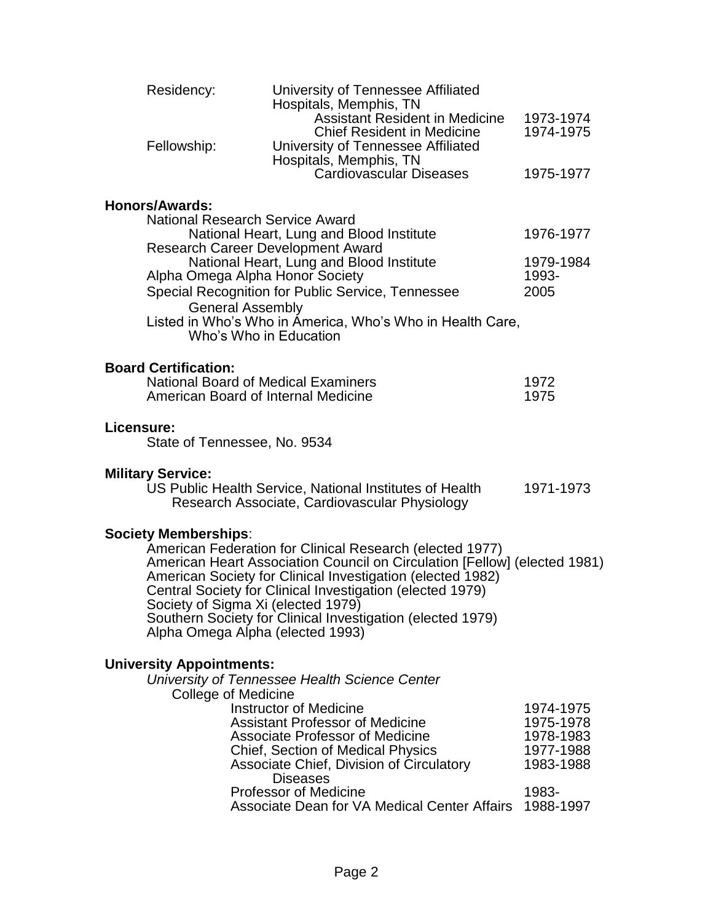|                          | Residency:<br>Fellowship:                                                                                                      | University of Tennessee Affiliated<br>Hospitals, Memphis, TN<br><b>Assistant Resident in Medicine</b><br><b>Chief Resident in Medicine</b><br>University of Tennessee Affiliated<br>Hospitals, Memphis, TN<br><b>Cardiovascular Diseases</b>                                                                                                           | 1973-1974<br>1974-1975<br>1975-1977                                                 |
|--------------------------|--------------------------------------------------------------------------------------------------------------------------------|--------------------------------------------------------------------------------------------------------------------------------------------------------------------------------------------------------------------------------------------------------------------------------------------------------------------------------------------------------|-------------------------------------------------------------------------------------|
| <b>Honors/Awards:</b>    | <b>National Research Service Award</b><br>Alpha Omega Alpha Honor Society<br><b>General Assembly</b><br>Who's Who in Education | National Heart, Lung and Blood Institute<br><b>Research Career Development Award</b><br>National Heart, Lung and Blood Institute<br>Special Recognition for Public Service, Tennessee<br>Listed in Who's Who in America, Who's Who in Health Care,                                                                                                     | 1976-1977<br>1979-1984<br>1993-<br>2005                                             |
|                          | <b>Board Certification:</b><br><b>National Board of Medical Examiners</b><br>American Board of Internal Medicine               |                                                                                                                                                                                                                                                                                                                                                        | 1972<br>1975                                                                        |
| Licensure:               | State of Tennessee, No. 9534                                                                                                   |                                                                                                                                                                                                                                                                                                                                                        |                                                                                     |
| <b>Military Service:</b> |                                                                                                                                | US Public Health Service, National Institutes of Health<br>Research Associate, Cardiovascular Physiology                                                                                                                                                                                                                                               | 1971-1973                                                                           |
|                          | <b>Society Memberships:</b><br>Society of Sigma Xi (elected 1979)<br>Alpha Omega Alpha (elected 1993)                          | American Federation for Clinical Research (elected 1977)<br>American Heart Association Council on Circulation [Fellow] (elected 1981)<br>American Society for Clinical Investigation (elected 1982)<br>Central Society for Clinical Investigation (elected 1979)<br>Southern Society for Clinical Investigation (elected 1979)                         |                                                                                     |
|                          | <b>University Appointments:</b><br>College of Medicine                                                                         | University of Tennessee Health Science Center<br><b>Instructor of Medicine</b><br><b>Assistant Professor of Medicine</b><br>Associate Professor of Medicine<br><b>Chief, Section of Medical Physics</b><br>Associate Chief, Division of Circulatory<br><b>Diseases</b><br><b>Professor of Medicine</b><br>Associate Dean for VA Medical Center Affairs | 1974-1975<br>1975-1978<br>1978-1983<br>1977-1988<br>1983-1988<br>1983-<br>1988-1997 |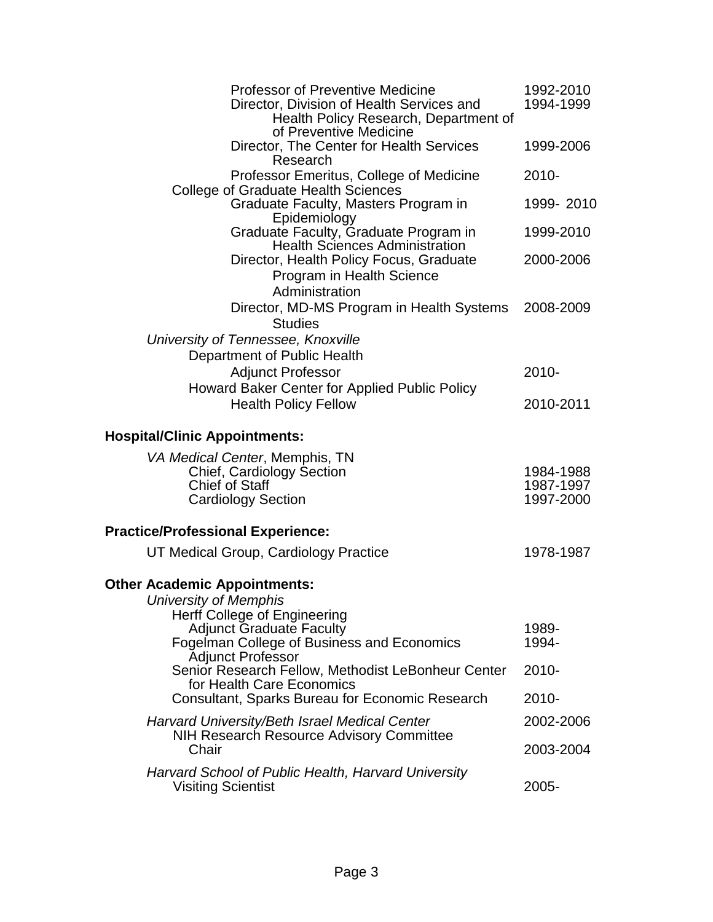| <b>Professor of Preventive Medicine</b><br>Director, Division of Health Services and<br>Health Policy Research, Department of<br>of Preventive Medicine | 1992-2010<br>1994-1999              |
|---------------------------------------------------------------------------------------------------------------------------------------------------------|-------------------------------------|
| Director, The Center for Health Services<br>Research                                                                                                    | 1999-2006                           |
| Professor Emeritus, College of Medicine<br><b>College of Graduate Health Sciences</b>                                                                   | $2010 -$                            |
| Graduate Faculty, Masters Program in<br>Epidemiology                                                                                                    | 1999-2010                           |
| Graduate Faculty, Graduate Program in<br><b>Health Sciences Administration</b>                                                                          | 1999-2010                           |
| Director, Health Policy Focus, Graduate<br>Program in Health Science<br>Administration                                                                  | 2000-2006                           |
| Director, MD-MS Program in Health Systems<br><b>Studies</b>                                                                                             | 2008-2009                           |
| University of Tennessee, Knoxville<br>Department of Public Health                                                                                       |                                     |
| <b>Adjunct Professor</b>                                                                                                                                | $2010 -$                            |
| Howard Baker Center for Applied Public Policy<br><b>Health Policy Fellow</b>                                                                            | 2010-2011                           |
| <b>Hospital/Clinic Appointments:</b>                                                                                                                    |                                     |
| VA Medical Center, Memphis, TN<br>Chief, Cardiology Section<br><b>Chief of Staff</b><br><b>Cardiology Section</b>                                       | 1984-1988<br>1987-1997<br>1997-2000 |
| <b>Practice/Professional Experience:</b>                                                                                                                |                                     |
| UT Medical Group, Cardiology Practice                                                                                                                   | 1978-1987                           |
| <b>Other Academic Appointments:</b><br><b>University of Memphis</b><br><b>Herff College of Engineering</b>                                              |                                     |
| <b>Adjunct Graduate Faculty</b><br><b>Fogelman College of Business and Economics</b>                                                                    | 1989-<br>1994-                      |
| <b>Adjunct Professor</b><br>Senior Research Fellow, Methodist LeBonheur Center<br>for Health Care Economics                                             | $2010 -$                            |
| <b>Consultant, Sparks Bureau for Economic Research</b>                                                                                                  | $2010 -$                            |
| Harvard University/Beth Israel Medical Center<br><b>NIH Research Resource Advisory Committee</b><br>Chair                                               | 2002-2006<br>2003-2004              |
| Harvard School of Public Health, Harvard University                                                                                                     |                                     |
| <b>Visiting Scientist</b>                                                                                                                               | 2005-                               |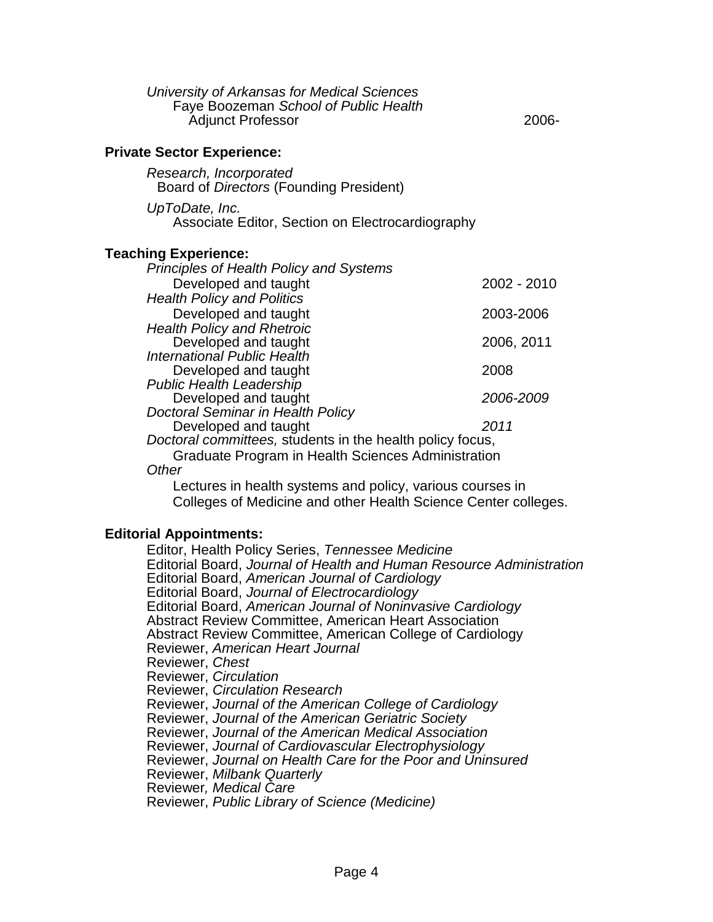| University of Arkansas for Medical Sciences<br>Faye Boozeman School of Public Health<br><b>Adjunct Professor</b> | 2006-       |
|------------------------------------------------------------------------------------------------------------------|-------------|
| <b>Private Sector Experience:</b>                                                                                |             |
| Research, Incorporated<br>Board of <i>Directors</i> (Founding President)                                         |             |
| UpToDate, Inc.<br>Associate Editor, Section on Electrocardiography                                               |             |
| <b>Teaching Experience:</b>                                                                                      |             |
| <b>Principles of Health Policy and Systems</b>                                                                   |             |
| Developed and taught                                                                                             | 2002 - 2010 |
| <b>Health Policy and Politics</b>                                                                                |             |
| Developed and taught                                                                                             | 2003-2006   |
| <b>Health Policy and Rhetroic</b>                                                                                |             |
| Developed and taught                                                                                             | 2006, 2011  |
| International Public Health                                                                                      |             |
| Developed and taught                                                                                             | 2008        |
| <b>Public Health Leadership</b>                                                                                  | 2006-2009   |
| Developed and taught<br><b>Doctoral Seminar in Health Policy</b>                                                 |             |
| Developed and taught                                                                                             | 2011        |
| Doctoral committees, students in the health policy focus,                                                        |             |
| Graduate Program in Health Sciences Administration                                                               |             |
| Other                                                                                                            |             |
| Lectures in health systems and policy, various courses in                                                        |             |
| Colleges of Medicine and other Health Science Center colleges.                                                   |             |
|                                                                                                                  |             |
|                                                                                                                  |             |
| <b>Editorial Appointments:</b>                                                                                   |             |
| Editor, Health Policy Series, Tennessee Medicine                                                                 |             |
| Editorial Board, Journal of Health and Human Resource Administration                                             |             |
| Editorial Board, American Journal of Cardiology<br>Editorial Board. Journal of Electrocardiology                 |             |

Editorial Board, *Journal of Electrocardiology* Editorial Board, *American Journal of Noninvasive Cardiology* Abstract Review Committee, American Heart Association Abstract Review Committee, American College of Cardiology Reviewer, *American Heart Journal* Reviewer, *Chest* Reviewer, *Circulation* Reviewer, *Circulation Research* Reviewer, *Journal of the American College of Cardiology* Reviewer, *Journal of the American Geriatric Society* Reviewer, *Journal of the American Medical Association* Reviewer, *Journal of Cardiovascular Electrophysiology* Reviewer, *Journal on Health Care for the Poor and Uninsured* Reviewer, *Milbank Quarterly* Reviewer*, Medical Care* Reviewer, *Public Library of Science (Medicine)*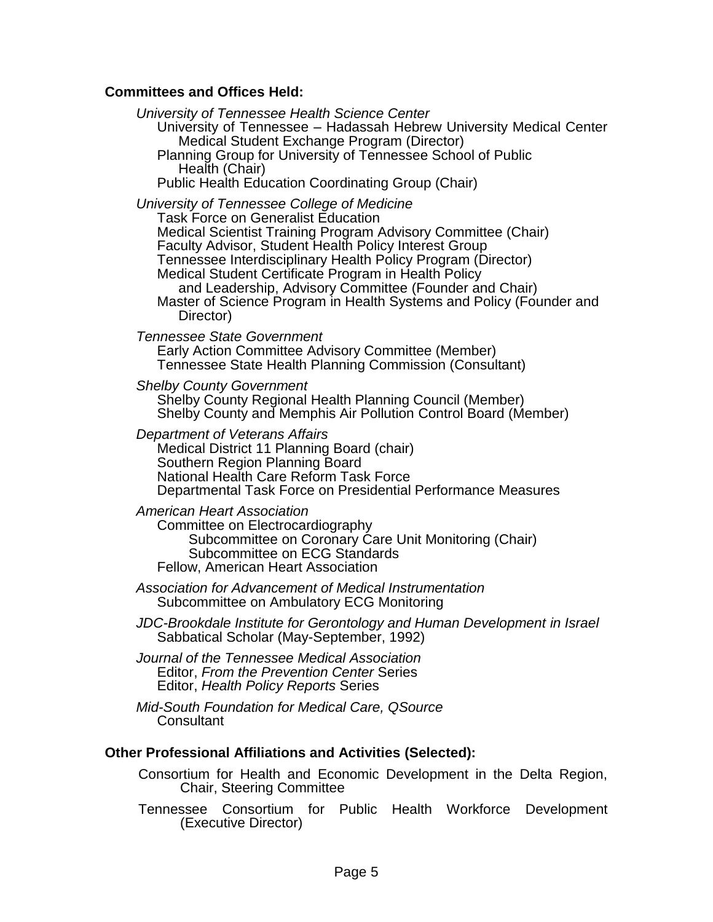### **Committees and Offices Held:**

*University of Tennessee Health Science Center*

University of Tennessee – Hadassah Hebrew University Medical Center Medical Student Exchange Program (Director)

Planning Group for University of Tennessee School of Public Health (Chair)

Public Health Education Coordinating Group (Chair)

*University of Tennessee College of Medicine* Task Force on Generalist Education Medical Scientist Training Program Advisory Committee (Chair) Faculty Advisor, Student Health Policy Interest Group Tennessee Interdisciplinary Health Policy Program (Director) Medical Student Certificate Program in Health Policy

and Leadership, Advisory Committee (Founder and Chair) Master of Science Program in Health Systems and Policy (Founder and Director)

*Tennessee State Government*

Early Action Committee Advisory Committee (Member) Tennessee State Health Planning Commission (Consultant)

*Shelby County Government*

Shelby County Regional Health Planning Council (Member) Shelby County and Memphis Air Pollution Control Board (Member)

*Department of Veterans Affairs*  Medical District 11 Planning Board (chair) Southern Region Planning Board National Health Care Reform Task Force Departmental Task Force on Presidential Performance Measures

*American Heart Association*

Committee on Electrocardiography Subcommittee on Coronary Care Unit Monitoring (Chair) Subcommittee on ECG Standards Fellow, American Heart Association

*Association for Advancement of Medical Instrumentation* Subcommittee on Ambulatory ECG Monitoring

*JDC-Brookdale Institute for Gerontology and Human Development in Israel* Sabbatical Scholar (May-September, 1992)

*Journal of the Tennessee Medical Association* Editor, *From the Prevention Center* Series Editor, *Health Policy Reports* Series

*Mid-South Foundation for Medical Care, QSource* **Consultant** 

# **Other Professional Affiliations and Activities (Selected):**

Consortium for Health and Economic Development in the Delta Region, Chair, Steering Committee

Tennessee Consortium for Public Health Workforce Development (Executive Director)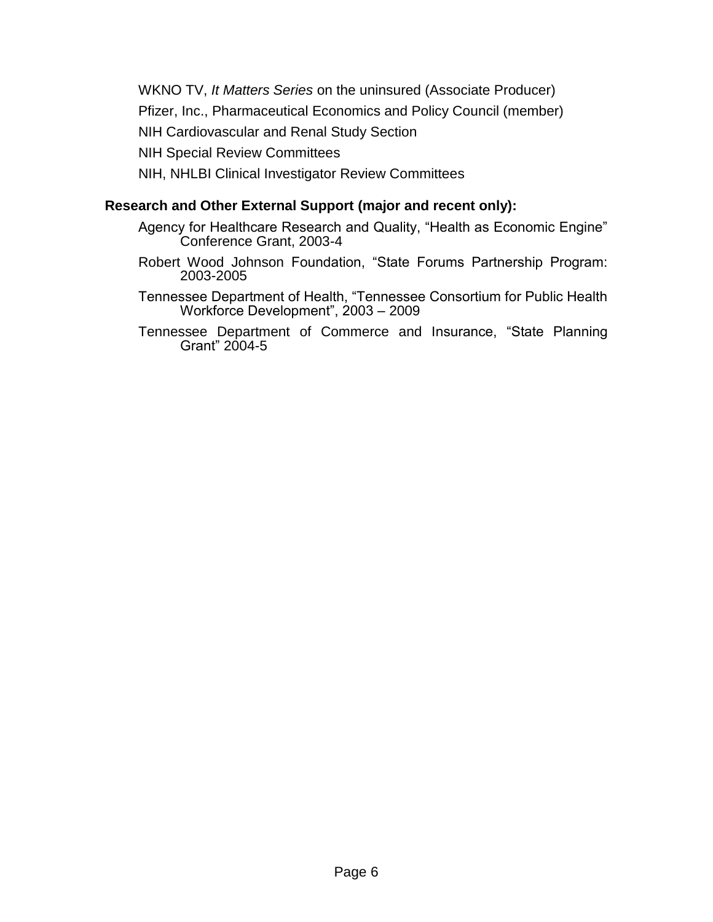WKNO TV, *It Matters Series* on the uninsured (Associate Producer) Pfizer, Inc., Pharmaceutical Economics and Policy Council (member) NIH Cardiovascular and Renal Study Section NIH Special Review Committees NIH, NHLBI Clinical Investigator Review Committees

# **Research and Other External Support (major and recent only):**

- Agency for Healthcare Research and Quality, "Health as Economic Engine" Conference Grant, 2003-4
- Robert Wood Johnson Foundation, "State Forums Partnership Program: 2003-2005
- Tennessee Department of Health, "Tennessee Consortium for Public Health Workforce Development", 2003 – 2009
- Tennessee Department of Commerce and Insurance, "State Planning Grant" 2004-5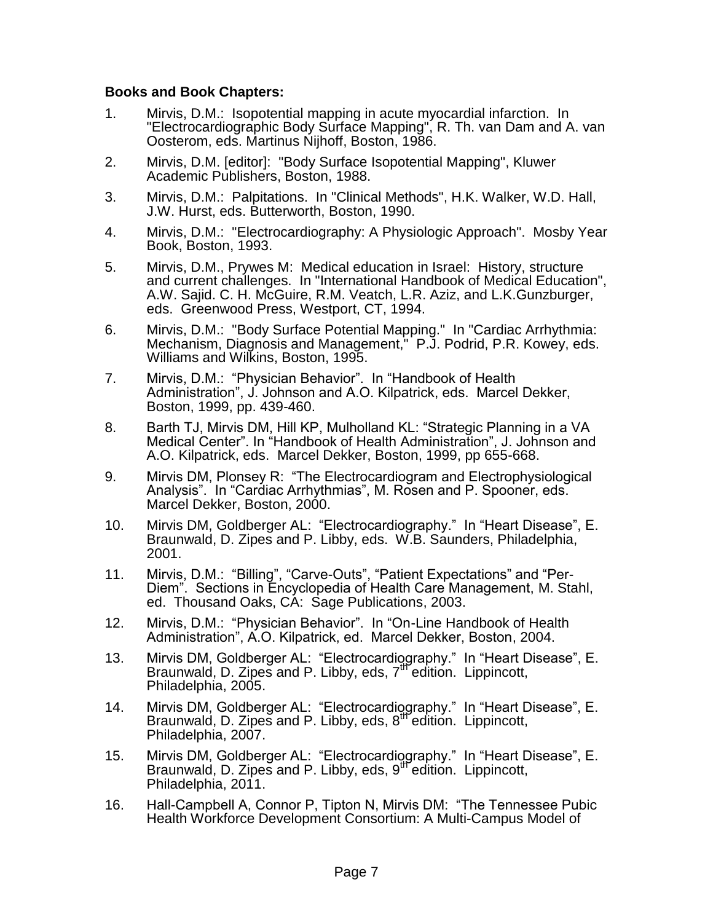# **Books and Book Chapters:**

- 1. Mirvis, D.M.: Isopotential mapping in acute myocardial infarction. In "Electrocardiographic Body Surface Mapping", R. Th. van Dam and A. van Oosterom, eds. Martinus Nijhoff, Boston, 1986.
- 2. Mirvis, D.M. [editor]: "Body Surface Isopotential Mapping", Kluwer Academic Publishers, Boston, 1988.
- 3. Mirvis, D.M.: Palpitations. In "Clinical Methods", H.K. Walker, W.D. Hall, J.W. Hurst, eds. Butterworth, Boston, 1990.
- 4. Mirvis, D.M.: "Electrocardiography: A Physiologic Approach". Mosby Year Book, Boston, 1993.
- 5. Mirvis, D.M., Prywes M: Medical education in Israel: History, structure and current challenges. In "International Handbook of Medical Education", A.W. Sajid. C. H. McGuire, R.M. Veatch, L.R. Aziz, and L.K.Gunzburger, eds. Greenwood Press, Westport, CT, 1994.
- 6. Mirvis, D.M.: "Body Surface Potential Mapping." In "Cardiac Arrhythmia: Mechanism, Diagnosis and Management," P.J. Podrid, P.R. Kowey, eds. Williams and Wilkins, Boston, 1995.
- 7. Mirvis, D.M.: "Physician Behavior". In "Handbook of Health Administration", J. Johnson and A.O. Kilpatrick, eds. Marcel Dekker, Boston, 1999, pp. 439-460.
- 8. Barth TJ, Mirvis DM, Hill KP, Mulholland KL: "Strategic Planning in a VA Medical Center". In "Handbook of Health Administration", J. Johnson and A.O. Kilpatrick, eds. Marcel Dekker, Boston, 1999, pp 655-668.
- 9. Mirvis DM, Plonsey R: "The Electrocardiogram and Electrophysiological Analysis". In "Cardiac Arrhythmias", M. Rosen and P. Spooner, eds. Marcel Dekker, Boston, 2000.
- 10. Mirvis DM, Goldberger AL: "Electrocardiography." In "Heart Disease", E. Braunwald, D. Zipes and P. Libby, eds. W.B. Saunders, Philadelphia, 2001.
- 11. Mirvis, D.M.: "Billing", "Carve-Outs", "Patient Expectations" and "Per-Diem". Sections in Encyclopedia of Health Care Management, M. Stahl, ed. Thousand Oaks, CA: Sage Publications, 2003.
- 12. Mirvis, D.M.: "Physician Behavior". In "On-Line Handbook of Health Administration", A.O. Kilpatrick, ed. Marcel Dekker, Boston, 2004.
- 13. Mirvis DM, Goldberger AL: "Electrocardiography." In "Heart Disease", E. Braunwald, D. Zipes and P. Libby, eds, 7<sup>th</sup> edition. Lippincott, Philadelphia, 2005.
- 14. Mirvis DM, Goldberger AL: "Electrocardiography." In "Heart Disease", E. Braunwald, D. Zipes and P. Libby, eds, 8<sup>th</sup> edition. Lippincott, Philadelphia, 2007.
- 15. Mirvis DM, Goldberger AL: "Electrocardiography." In "Heart Disease", E. Braunwald, D. Zipes and P. Libby, eds, 9<sup>th</sup> edition. Lippincott, Philadelphia, 2011.
- 16. Hall-Campbell A, Connor P, Tipton N, Mirvis DM: "The Tennessee Pubic Health Workforce Development Consortium: A Multi-Campus Model of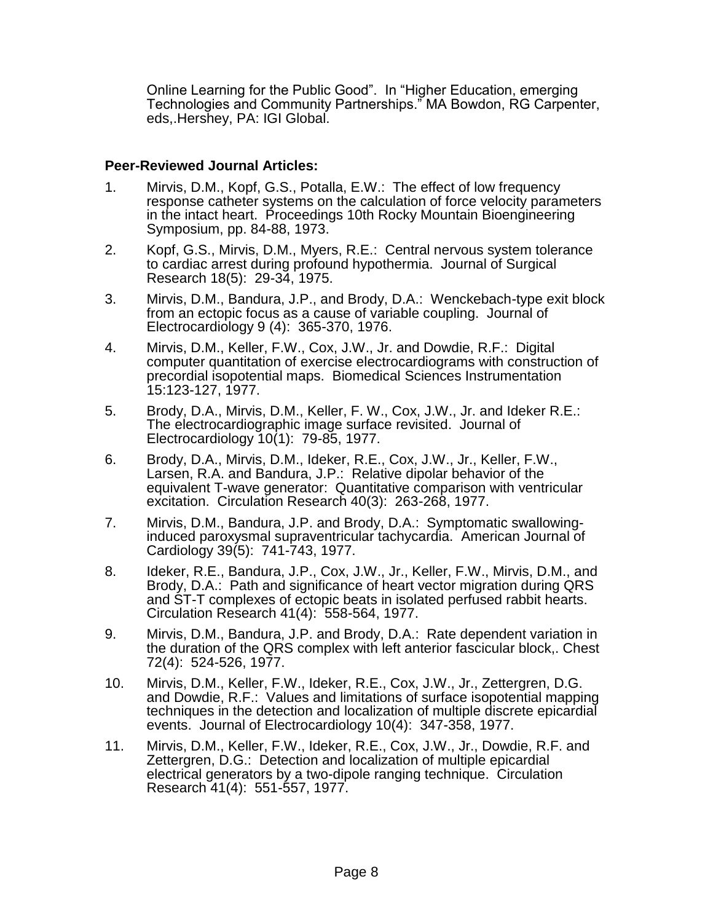Online Learning for the Public Good". In "Higher Education, emerging Technologies and Community Partnerships." MA Bowdon, RG Carpenter, eds,.Hershey, PA: IGI Global.

### **Peer-Reviewed Journal Articles:**

- 1. Mirvis, D.M., Kopf, G.S., Potalla, E.W.: The effect of low frequency response catheter systems on the calculation of force velocity parameters in the intact heart. Proceedings 10th Rocky Mountain Bioengineering Symposium, pp. 84-88, 1973.
- 2. Kopf, G.S., Mirvis, D.M., Myers, R.E.: Central nervous system tolerance to cardiac arrest during profound hypothermia. Journal of Surgical Research 18(5): 29-34, 1975.
- 3. Mirvis, D.M., Bandura, J.P., and Brody, D.A.: Wenckebach-type exit block from an ectopic focus as a cause of variable coupling. Journal of Electrocardiology 9 (4): 365-370, 1976.
- 4. Mirvis, D.M., Keller, F.W., Cox, J.W., Jr. and Dowdie, R.F.: Digital computer quantitation of exercise electrocardiograms with construction of precordial isopotential maps. Biomedical Sciences Instrumentation 15:123-127, 1977.
- 5. Brody, D.A., Mirvis, D.M., Keller, F. W., Cox, J.W., Jr. and Ideker R.E.: The electrocardiographic image surface revisited. Journal of Electrocardiology 10(1): 79-85, 1977.
- 6. Brody, D.A., Mirvis, D.M., Ideker, R.E., Cox, J.W., Jr., Keller, F.W., Larsen, R.A. and Bandura, J.P.: Relative dipolar behavior of the equivalent T-wave generator: Quantitative comparison with ventricular excitation. Circulation Research 40(3): 263-268, 1977.
- 7. Mirvis, D.M., Bandura, J.P. and Brody, D.A.: Symptomatic swallowinginduced paroxysmal supraventricular tachycardia. American Journal of Cardiology 39(5): 741-743, 1977.
- 8. Ideker, R.E., Bandura, J.P., Cox, J.W., Jr., Keller, F.W., Mirvis, D.M., and Brody, D.A.: Path and significance of heart vector migration during QRS and ST-T complexes of ectopic beats in isolated perfused rabbit hearts. Circulation Research 41(4): 558-564, 1977.
- 9. Mirvis, D.M., Bandura, J.P. and Brody, D.A.: Rate dependent variation in the duration of the QRS complex with left anterior fascicular block,. Chest 72(4): 524-526, 1977.
- 10. Mirvis, D.M., Keller, F.W., Ideker, R.E., Cox, J.W., Jr., Zettergren, D.G. and Dowdie, R.F.: Values and limitations of surface isopotential mapping techniques in the detection and localization of multiple discrete epicardial events. Journal of Electrocardiology 10(4): 347-358, 1977.
- 11. Mirvis, D.M., Keller, F.W., Ideker, R.E., Cox, J.W., Jr., Dowdie, R.F. and Zettergren, D.G.: Detection and localization of multiple epicardial electrical generators by a two-dipole ranging technique. Circulation Research 41(4): 551-557, 1977.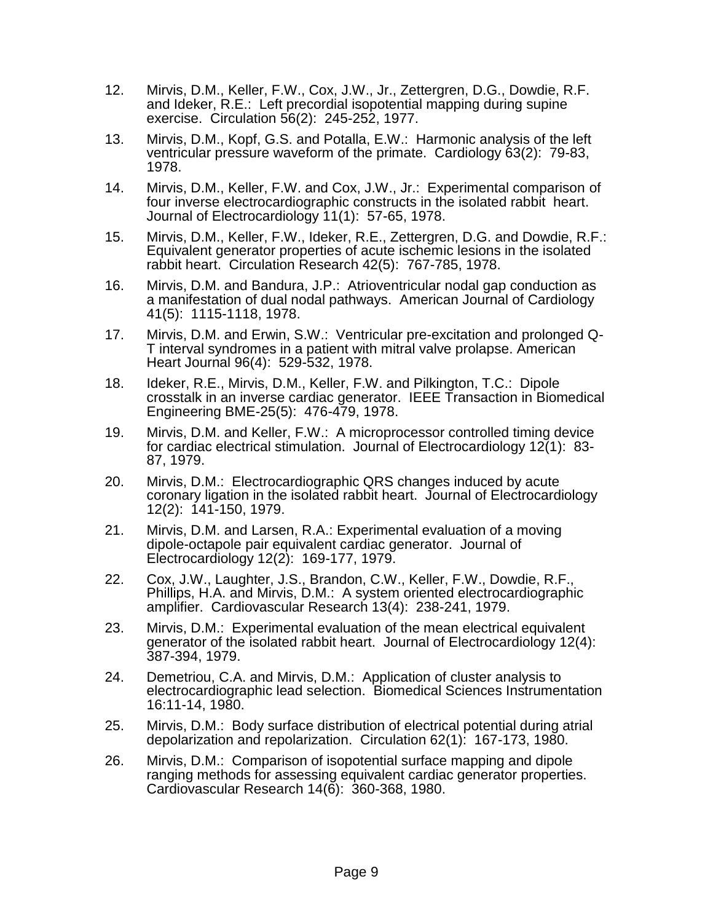- 12. Mirvis, D.M., Keller, F.W., Cox, J.W., Jr., Zettergren, D.G., Dowdie, R.F. and Ideker, R.E.: Left precordial isopotential mapping during supine exercise. Circulation 56(2): 245-252, 1977.
- 13. Mirvis, D.M., Kopf, G.S. and Potalla, E.W.: Harmonic analysis of the left ventricular pressure waveform of the primate. Cardiology 63(2): 79-83, 1978.
- 14. Mirvis, D.M., Keller, F.W. and Cox, J.W., Jr.: Experimental comparison of four inverse electrocardiographic constructs in the isolated rabbit heart. Journal of Electrocardiology 11(1): 57-65, 1978.
- 15. Mirvis, D.M., Keller, F.W., Ideker, R.E., Zettergren, D.G. and Dowdie, R.F.: Equivalent generator properties of acute ischemic lesions in the isolated rabbit heart. Circulation Research 42(5): 767-785, 1978.
- 16. Mirvis, D.M. and Bandura, J.P.: Atrioventricular nodal gap conduction as a manifestation of dual nodal pathways. American Journal of Cardiology 41(5): 1115-1118, 1978.
- 17. Mirvis, D.M. and Erwin, S.W.: Ventricular pre-excitation and prolonged Q-T interval syndromes in a patient with mitral valve prolapse. American Heart Journal 96(4): 529-532, 1978.
- 18. Ideker, R.E., Mirvis, D.M., Keller, F.W. and Pilkington, T.C.: Dipole crosstalk in an inverse cardiac generator. IEEE Transaction in Biomedical Engineering BME-25(5): 476-479, 1978.
- 19. Mirvis, D.M. and Keller, F.W.: A microprocessor controlled timing device for cardiac electrical stimulation. Journal of Electrocardiology 12(1): 83- 87, 1979.
- 20. Mirvis, D.M.: Electrocardiographic QRS changes induced by acute coronary ligation in the isolated rabbit heart. Journal of Electrocardiology 12(2): 141-150, 1979.
- 21. Mirvis, D.M. and Larsen, R.A.: Experimental evaluation of a moving dipole-octapole pair equivalent cardiac generator. Journal of Electrocardiology 12(2): 169-177, 1979.
- 22. Cox, J.W., Laughter, J.S., Brandon, C.W., Keller, F.W., Dowdie, R.F., Phillips, H.A. and Mirvis, D.M.: A system oriented electrocardiographic amplifier. Cardiovascular Research 13(4): 238-241, 1979.
- 23. Mirvis, D.M.: Experimental evaluation of the mean electrical equivalent generator of the isolated rabbit heart. Journal of Electrocardiology 12(4): 387-394, 1979.
- 24. Demetriou, C.A. and Mirvis, D.M.: Application of cluster analysis to electrocardiographic lead selection. Biomedical Sciences Instrumentation 16:11-14, 1980.
- 25. Mirvis, D.M.: Body surface distribution of electrical potential during atrial depolarization and repolarization. Circulation 62(1): 167-173, 1980.
- 26. Mirvis, D.M.: Comparison of isopotential surface mapping and dipole ranging methods for assessing equivalent cardiac generator properties. Cardiovascular Research 14(6): 360-368, 1980.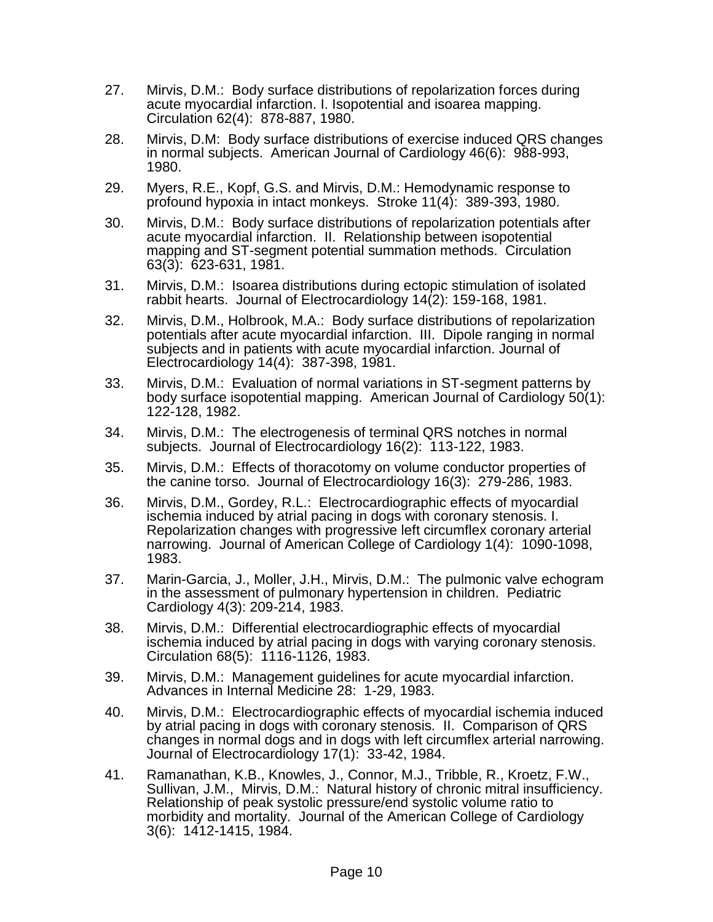- 27. Mirvis, D.M.: Body surface distributions of repolarization forces during acute myocardial infarction. I. Isopotential and isoarea mapping. Circulation 62(4): 878-887, 1980.
- 28. Mirvis, D.M: Body surface distributions of exercise induced QRS changes in normal subjects. American Journal of Cardiology 46(6): 988-993, 1980.
- 29. Myers, R.E., Kopf, G.S. and Mirvis, D.M.: Hemodynamic response to profound hypoxia in intact monkeys. Stroke 11(4): 389-393, 1980.
- 30. Mirvis, D.M.: Body surface distributions of repolarization potentials after acute myocardial infarction. II. Relationship between isopotential mapping and ST-segment potential summation methods. Circulation 63(3): 623-631, 1981.
- 31. Mirvis, D.M.: Isoarea distributions during ectopic stimulation of isolated rabbit hearts. Journal of Electrocardiology 14(2): 159-168, 1981.
- 32. Mirvis, D.M., Holbrook, M.A.: Body surface distributions of repolarization potentials after acute myocardial infarction. III. Dipole ranging in normal subjects and in patients with acute myocardial infarction. Journal of Electrocardiology 14(4): 387-398, 1981.
- 33. Mirvis, D.M.: Evaluation of normal variations in ST-segment patterns by body surface isopotential mapping. American Journal of Cardiology 50(1): 122-128, 1982.
- 34. Mirvis, D.M.: The electrogenesis of terminal QRS notches in normal subjects. Journal of Electrocardiology 16(2): 113-122, 1983.
- 35. Mirvis, D.M.: Effects of thoracotomy on volume conductor properties of the canine torso. Journal of Electrocardiology 16(3): 279-286, 1983.
- 36. Mirvis, D.M., Gordey, R.L.: Electrocardiographic effects of myocardial ischemia induced by atrial pacing in dogs with coronary stenosis. I. Repolarization changes with progressive left circumflex coronary arterial narrowing. Journal of American College of Cardiology 1(4): 1090-1098, 1983.
- 37. Marin-Garcia, J., Moller, J.H., Mirvis, D.M.: The pulmonic valve echogram in the assessment of pulmonary hypertension in children. Pediatric Cardiology 4(3): 209-214, 1983.
- 38. Mirvis, D.M.: Differential electrocardiographic effects of myocardial ischemia induced by atrial pacing in dogs with varying coronary stenosis. Circulation 68(5): 1116-1126, 1983.
- 39. Mirvis, D.M.: Management guidelines for acute myocardial infarction. Advances in Internal Medicine 28: 1-29, 1983.
- 40. Mirvis, D.M.: Electrocardiographic effects of myocardial ischemia induced by atrial pacing in dogs with coronary stenosis. II. Comparison of QRS changes in normal dogs and in dogs with left circumflex arterial narrowing. Journal of Electrocardiology 17(1): 33-42, 1984.
- 41. Ramanathan, K.B., Knowles, J., Connor, M.J., Tribble, R., Kroetz, F.W., Sullivan, J.M., Mirvis, D.M.: Natural history of chronic mitral insufficiency. Relationship of peak systolic pressure/end systolic volume ratio to morbidity and mortality. Journal of the American College of Cardiology 3(6): 1412-1415, 1984.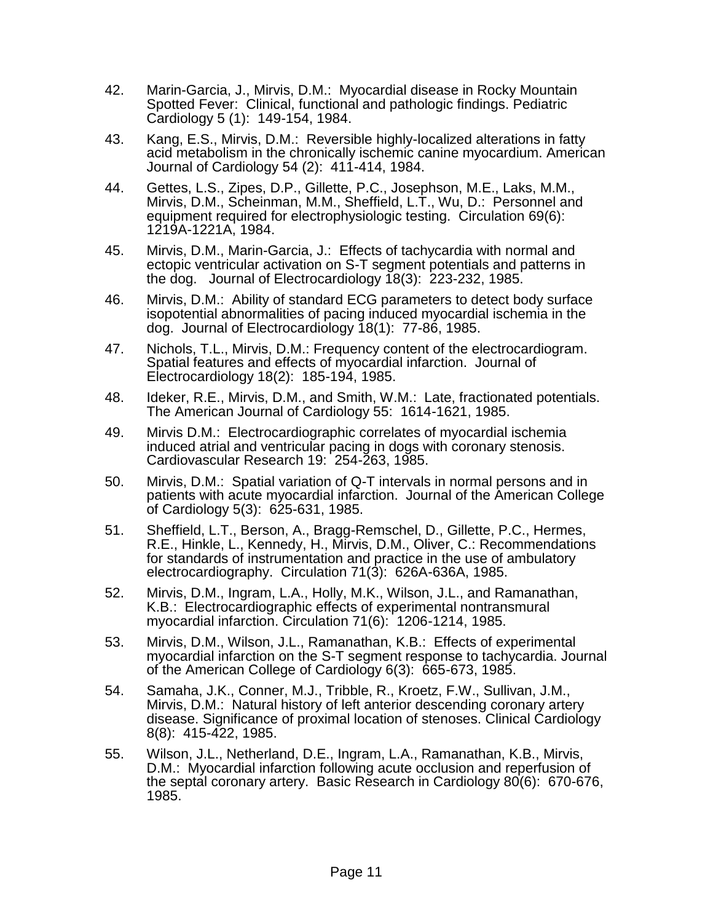- 42. Marin-Garcia, J., Mirvis, D.M.: Myocardial disease in Rocky Mountain Spotted Fever: Clinical, functional and pathologic findings. Pediatric Cardiology 5 (1): 149-154, 1984.
- 43. Kang, E.S., Mirvis, D.M.: Reversible highly-localized alterations in fatty acid metabolism in the chronically ischemic canine myocardium. American Journal of Cardiology 54 (2): 411-414, 1984.
- 44. Gettes, L.S., Zipes, D.P., Gillette, P.C., Josephson, M.E., Laks, M.M., Mirvis, D.M., Scheinman, M.M., Sheffield, L.T., Wu, D.: Personnel and equipment required for electrophysiologic testing. Circulation 69(6): 1219A-1221A, 1984.
- 45. Mirvis, D.M., Marin-Garcia, J.: Effects of tachycardia with normal and ectopic ventricular activation on S-T segment potentials and patterns in the dog. Journal of Electrocardiology 18(3): 223-232, 1985.
- 46. Mirvis, D.M.: Ability of standard ECG parameters to detect body surface isopotential abnormalities of pacing induced myocardial ischemia in the dog. Journal of Electrocardiology 18(1): 77-86, 1985.
- 47. Nichols, T.L., Mirvis, D.M.: Frequency content of the electrocardiogram. Spatial features and effects of myocardial infarction. Journal of Electrocardiology 18(2): 185-194, 1985.
- 48. Ideker, R.E., Mirvis, D.M., and Smith, W.M.: Late, fractionated potentials. The American Journal of Cardiology 55: 1614-1621, 1985.
- 49. Mirvis D.M.: Electrocardiographic correlates of myocardial ischemia induced atrial and ventricular pacing in dogs with coronary stenosis. Cardiovascular Research 19: 254-263, 1985.
- 50. Mirvis, D.M.: Spatial variation of Q-T intervals in normal persons and in patients with acute myocardial infarction. Journal of the American College of Cardiology 5(3): 625-631, 1985.
- 51. Sheffield, L.T., Berson, A., Bragg-Remschel, D., Gillette, P.C., Hermes, R.E., Hinkle, L., Kennedy, H., Mirvis, D.M., Oliver, C.: Recommendations for standards of instrumentation and practice in the use of ambulatory electrocardiography. Circulation 71(3): 626A-636A, 1985.
- 52. Mirvis, D.M., Ingram, L.A., Holly, M.K., Wilson, J.L., and Ramanathan, K.B.: Electrocardiographic effects of experimental nontransmural myocardial infarction. Circulation 71(6): 1206-1214, 1985.
- 53. Mirvis, D.M., Wilson, J.L., Ramanathan, K.B.: Effects of experimental myocardial infarction on the S-T segment response to tachycardia. Journal of the American College of Cardiology 6(3): 665-673, 1985.
- 54. Samaha, J.K., Conner, M.J., Tribble, R., Kroetz, F.W., Sullivan, J.M., Mirvis, D.M.: Natural history of left anterior descending coronary artery disease. Significance of proximal location of stenoses. Clinical Cardiology 8(8): 415-422, 1985.
- 55. Wilson, J.L., Netherland, D.E., Ingram, L.A., Ramanathan, K.B., Mirvis, D.M.: Myocardial infarction following acute occlusion and reperfusion of the septal coronary artery. Basic Research in Cardiology 80(6): 670-676, 1985.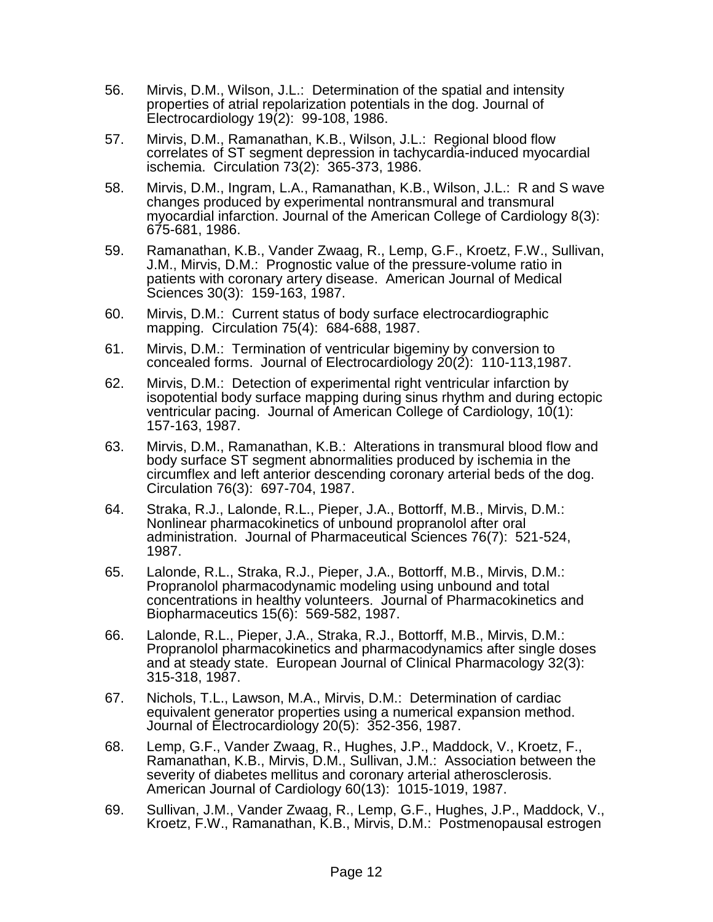- 56. Mirvis, D.M., Wilson, J.L.: Determination of the spatial and intensity properties of atrial repolarization potentials in the dog. Journal of Electrocardiology 19(2): 99-108, 1986.
- 57. Mirvis, D.M., Ramanathan, K.B., Wilson, J.L.: Regional blood flow correlates of ST segment depression in tachycardia-induced myocardial ischemia. Circulation 73(2): 365-373, 1986.
- 58. Mirvis, D.M., Ingram, L.A., Ramanathan, K.B., Wilson, J.L.: R and S wave changes produced by experimental nontransmural and transmural myocardial infarction. Journal of the American College of Cardiology 8(3): 675-681, 1986.
- 59. Ramanathan, K.B., Vander Zwaag, R., Lemp, G.F., Kroetz, F.W., Sullivan, J.M., Mirvis, D.M.: Prognostic value of the pressure-volume ratio in patients with coronary artery disease. American Journal of Medical Sciences 30(3): 159-163, 1987.
- 60. Mirvis, D.M.: Current status of body surface electrocardiographic mapping. Circulation 75(4): 684-688, 1987.
- 61. Mirvis, D.M.: Termination of ventricular bigeminy by conversion to concealed forms. Journal of Electrocardiology 20(2): 110-113,1987.
- 62. Mirvis, D.M.: Detection of experimental right ventricular infarction by isopotential body surface mapping during sinus rhythm and during ectopic ventricular pacing. Journal of American College of Cardiology, 10(1): 157-163, 1987.
- 63. Mirvis, D.M., Ramanathan, K.B.: Alterations in transmural blood flow and body surface ST segment abnormalities produced by ischemia in the circumflex and left anterior descending coronary arterial beds of the dog. Circulation 76(3): 697-704, 1987.
- 64. Straka, R.J., Lalonde, R.L., Pieper, J.A., Bottorff, M.B., Mirvis, D.M.: Nonlinear pharmacokinetics of unbound propranolol after oral administration. Journal of Pharmaceutical Sciences 76(7): 521-524, 1987.
- 65. Lalonde, R.L., Straka, R.J., Pieper, J.A., Bottorff, M.B., Mirvis, D.M.: Propranolol pharmacodynamic modeling using unbound and total concentrations in healthy volunteers. Journal of Pharmacokinetics and Biopharmaceutics 15(6): 569-582, 1987.
- 66. Lalonde, R.L., Pieper, J.A., Straka, R.J., Bottorff, M.B., Mirvis, D.M.: Propranolol pharmacokinetics and pharmacodynamics after single doses and at steady state. European Journal of Clinical Pharmacology 32(3): 315-318, 1987.
- 67. Nichols, T.L., Lawson, M.A., Mirvis, D.M.: Determination of cardiac equivalent generator properties using a numerical expansion method. Journal of Electrocardiology 20(5): 352-356, 1987.
- 68. Lemp, G.F., Vander Zwaag, R., Hughes, J.P., Maddock, V., Kroetz, F., Ramanathan, K.B., Mirvis, D.M., Sullivan, J.M.: Association between the severity of diabetes mellitus and coronary arterial atherosclerosis. American Journal of Cardiology 60(13): 1015-1019, 1987.
- 69. Sullivan, J.M., Vander Zwaag, R., Lemp, G.F., Hughes, J.P., Maddock, V., Kroetz, F.W., Ramanathan, K.B., Mirvis, D.M.: Postmenopausal estrogen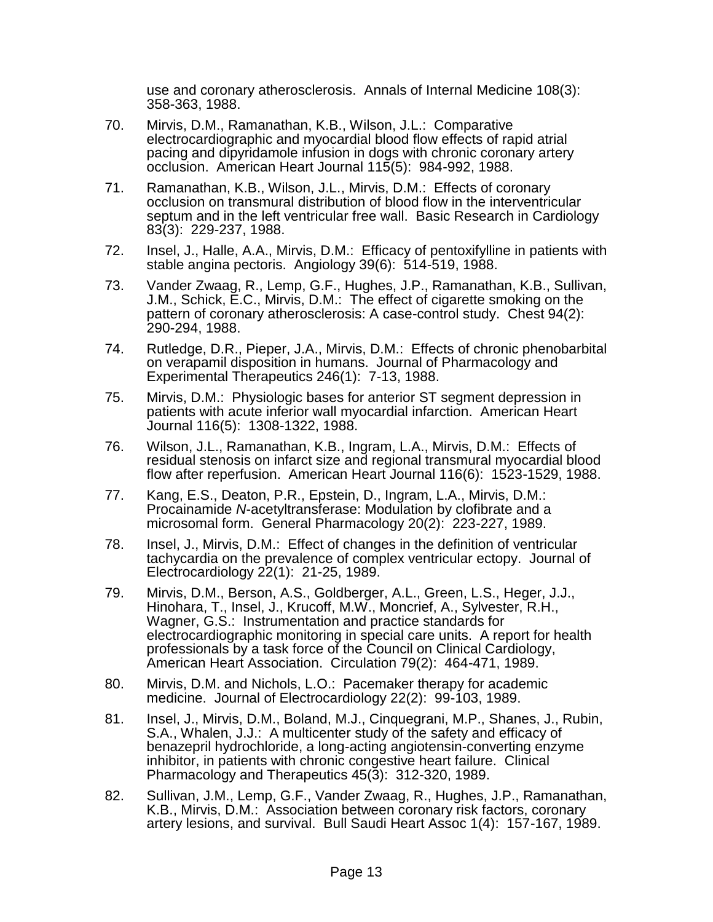use and coronary atherosclerosis. Annals of Internal Medicine 108(3): 358-363, 1988.

- 70. Mirvis, D.M., Ramanathan, K.B., Wilson, J.L.: Comparative electrocardiographic and myocardial blood flow effects of rapid atrial pacing and dipyridamole infusion in dogs with chronic coronary artery occlusion. American Heart Journal 115(5): 984-992, 1988.
- 71. Ramanathan, K.B., Wilson, J.L., Mirvis, D.M.: Effects of coronary occlusion on transmural distribution of blood flow in the interventricular septum and in the left ventricular free wall. Basic Research in Cardiology 83(3): 229-237, 1988.
- 72. Insel, J., Halle, A.A., Mirvis, D.M.: Efficacy of pentoxifylline in patients with stable angina pectoris. Angiology 39(6): 514-519, 1988.
- 73. Vander Zwaag, R., Lemp, G.F., Hughes, J.P., Ramanathan, K.B., Sullivan, J.M., Schick, E.C., Mirvis, D.M.: The effect of cigarette smoking on the pattern of coronary atherosclerosis: A case-control study. Chest 94(2): 290-294, 1988.
- 74. Rutledge, D.R., Pieper, J.A., Mirvis, D.M.: Effects of chronic phenobarbital on verapamil disposition in humans. Journal of Pharmacology and Experimental Therapeutics 246(1): 7-13, 1988.
- 75. Mirvis, D.M.: Physiologic bases for anterior ST segment depression in patients with acute inferior wall myocardial infarction. American Heart Journal 116(5): 1308-1322, 1988.
- 76. Wilson, J.L., Ramanathan, K.B., Ingram, L.A., Mirvis, D.M.: Effects of residual stenosis on infarct size and regional transmural myocardial blood flow after reperfusion. American Heart Journal 116(6): 1523-1529, 1988.
- 77. Kang, E.S., Deaton, P.R., Epstein, D., Ingram, L.A., Mirvis, D.M.: Procainamide *N*-acetyltransferase: Modulation by clofibrate and a microsomal form. General Pharmacology 20(2): 223-227, 1989.
- 78. Insel, J., Mirvis, D.M.: Effect of changes in the definition of ventricular tachycardia on the prevalence of complex ventricular ectopy. Journal of Electrocardiology 22(1): 21-25, 1989.
- 79. Mirvis, D.M., Berson, A.S., Goldberger, A.L., Green, L.S., Heger, J.J., Hinohara, T., Insel, J., Krucoff, M.W., Moncrief, A., Sylvester, R.H., Wagner, G.S.: Instrumentation and practice standards for electrocardiographic monitoring in special care units. A report for health professionals by a task force of the Council on Clinical Cardiology, American Heart Association. Circulation 79(2): 464-471, 1989.
- 80. Mirvis, D.M. and Nichols, L.O.: Pacemaker therapy for academic medicine. Journal of Electrocardiology 22(2): 99-103, 1989.
- 81. Insel, J., Mirvis, D.M., Boland, M.J., Cinquegrani, M.P., Shanes, J., Rubin, S.A., Whalen, J.J.: A multicenter study of the safety and efficacy of benazepril hydrochloride, a long-acting angiotensin-converting enzyme inhibitor, in patients with chronic congestive heart failure. Clinical Pharmacology and Therapeutics 45(3): 312-320, 1989.
- 82. Sullivan, J.M., Lemp, G.F., Vander Zwaag, R., Hughes, J.P., Ramanathan, K.B., Mirvis, D.M.: Association between coronary risk factors, coronary artery lesions, and survival. Bull Saudi Heart Assoc 1(4): 157-167, 1989.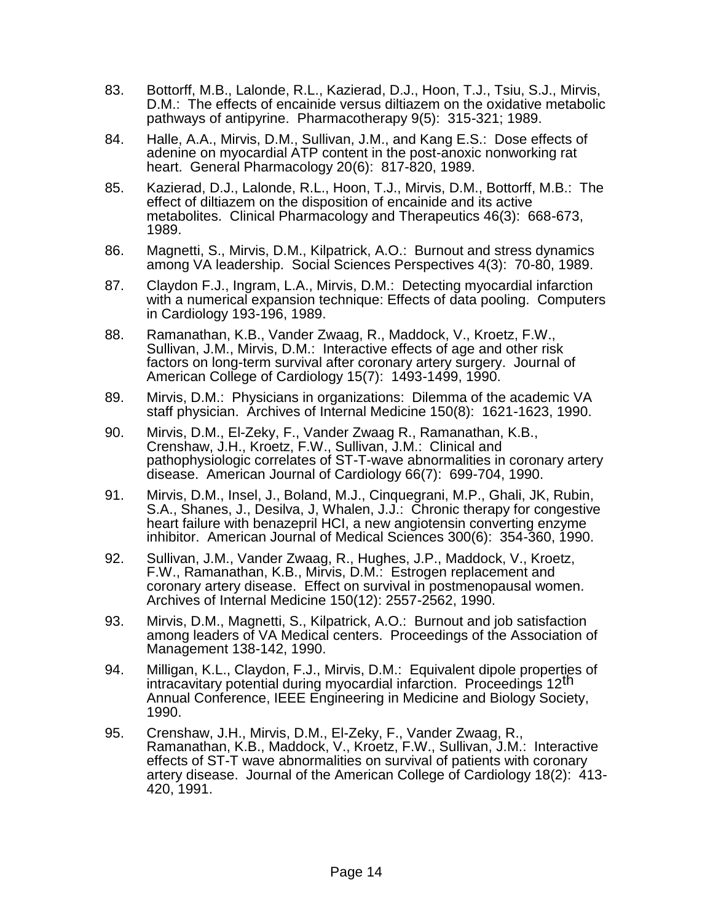- 83. Bottorff, M.B., Lalonde, R.L., Kazierad, D.J., Hoon, T.J., Tsiu, S.J., Mirvis, D.M.: The effects of encainide versus diltiazem on the oxidative metabolic pathways of antipyrine. Pharmacotherapy 9(5): 315-321; 1989.
- 84. Halle, A.A., Mirvis, D.M., Sullivan, J.M., and Kang E.S.: Dose effects of adenine on myocardial ATP content in the post-anoxic nonworking rat heart. General Pharmacology 20(6): 817-820, 1989.
- 85. Kazierad, D.J., Lalonde, R.L., Hoon, T.J., Mirvis, D.M., Bottorff, M.B.: The effect of diltiazem on the disposition of encainide and its active metabolites. Clinical Pharmacology and Therapeutics 46(3): 668-673, 1989.
- 86. Magnetti, S., Mirvis, D.M., Kilpatrick, A.O.: Burnout and stress dynamics among VA leadership. Social Sciences Perspectives 4(3): 70-80, 1989.
- 87. Claydon F.J., Ingram, L.A., Mirvis, D.M.: Detecting myocardial infarction with a numerical expansion technique: Effects of data pooling. Computers in Cardiology 193-196, 1989.
- 88. Ramanathan, K.B., Vander Zwaag, R., Maddock, V., Kroetz, F.W., Sullivan, J.M., Mirvis, D.M.: Interactive effects of age and other risk factors on long-term survival after coronary artery surgery. Journal of American College of Cardiology 15(7): 1493-1499, 1990.
- 89. Mirvis, D.M.: Physicians in organizations: Dilemma of the academic VA staff physician. Archives of Internal Medicine 150(8): 1621-1623, 1990.
- 90. Mirvis, D.M., El-Zeky, F., Vander Zwaag R., Ramanathan, K.B., Crenshaw, J.H., Kroetz, F.W., Sullivan, J.M.: Clinical and pathophysiologic correlates of ST-T-wave abnormalities in coronary artery disease. American Journal of Cardiology 66(7): 699-704, 1990.
- 91. Mirvis, D.M., Insel, J., Boland, M.J., Cinquegrani, M.P., Ghali, JK, Rubin, S.A., Shanes, J., Desilva, J, Whalen, J.J.: Chronic therapy for congestive heart failure with benazepril HCI, a new angiotensin converting enzyme inhibitor. American Journal of Medical Sciences 300(6): 354-360, 1990.
- 92. Sullivan, J.M., Vander Zwaag, R., Hughes, J.P., Maddock, V., Kroetz, F.W., Ramanathan, K.B., Mirvis, D.M.: Estrogen replacement and coronary artery disease. Effect on survival in postmenopausal women. Archives of Internal Medicine 150(12): 2557-2562, 1990.
- 93. Mirvis, D.M., Magnetti, S., Kilpatrick, A.O.: Burnout and job satisfaction among leaders of VA Medical centers. Proceedings of the Association of Management 138-142, 1990.
- 94. Milligan, K.L., Claydon, F.J., Mirvis, D.M.: Equivalent dipole properties of intracavitary potential during myocardial infarction. Proceedings 12th Annual Conference, IEEE Engineering in Medicine and Biology Society, 1990.
- 95. Crenshaw, J.H., Mirvis, D.M., El-Zeky, F., Vander Zwaag, R., Ramanathan, K.B., Maddock, V., Kroetz, F.W., Sullivan, J.M.: Interactive effects of ST-T wave abnormalities on survival of patients with coronary artery disease. Journal of the American College of Cardiology 18(2): 413- 420, 1991.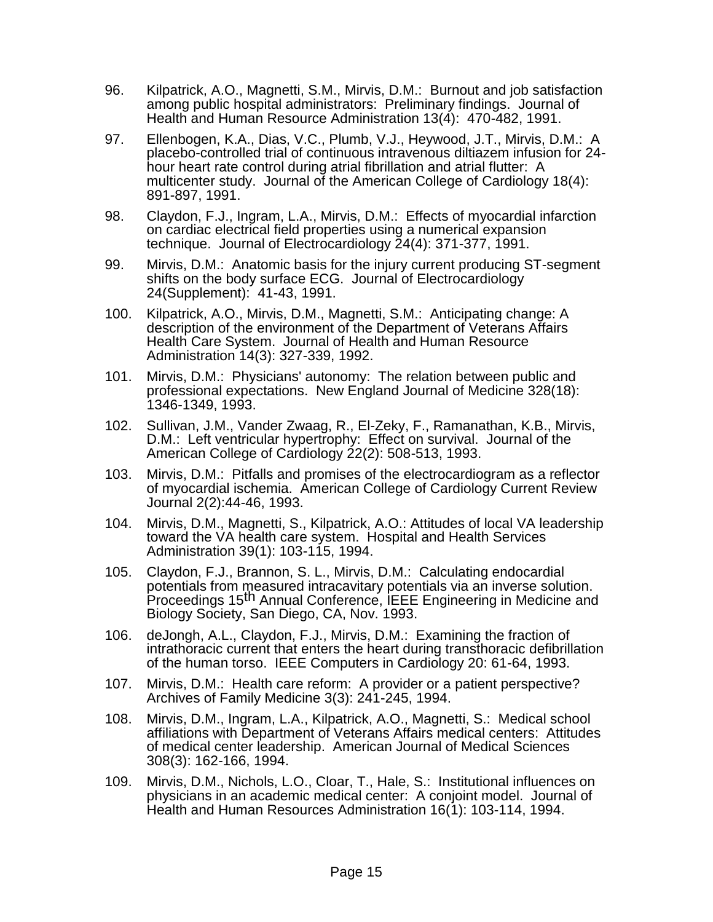- 96. Kilpatrick, A.O., Magnetti, S.M., Mirvis, D.M.: Burnout and job satisfaction among public hospital administrators: Preliminary findings. Journal of Health and Human Resource Administration 13(4): 470-482, 1991.
- 97. Ellenbogen, K.A., Dias, V.C., Plumb, V.J., Heywood, J.T., Mirvis, D.M.: A placebo-controlled trial of continuous intravenous diltiazem infusion for 24 hour heart rate control during atrial fibrillation and atrial flutter: A multicenter study. Journal of the American College of Cardiology 18(4): 891-897, 1991.
- 98. Claydon, F.J., Ingram, L.A., Mirvis, D.M.: Effects of myocardial infarction on cardiac electrical field properties using a numerical expansion technique. Journal of Electrocardiology 24(4): 371-377, 1991.
- 99. Mirvis, D.M.: Anatomic basis for the injury current producing ST-segment shifts on the body surface ECG. Journal of Electrocardiology 24(Supplement): 41-43, 1991.
- 100. Kilpatrick, A.O., Mirvis, D.M., Magnetti, S.M.: Anticipating change: A description of the environment of the Department of Veterans Affairs Health Care System. Journal of Health and Human Resource Administration 14(3): 327-339, 1992.
- 101. Mirvis, D.M.: Physicians' autonomy: The relation between public and professional expectations. New England Journal of Medicine 328(18): 1346-1349, 1993.
- 102. Sullivan, J.M., Vander Zwaag, R., El-Zeky, F., Ramanathan, K.B., Mirvis, D.M.: Left ventricular hypertrophy: Effect on survival. Journal of the American College of Cardiology 22(2): 508-513, 1993.
- 103. Mirvis, D.M.: Pitfalls and promises of the electrocardiogram as a reflector of myocardial ischemia. American College of Cardiology Current Review Journal 2(2):44-46, 1993.
- 104. Mirvis, D.M., Magnetti, S., Kilpatrick, A.O.: Attitudes of local VA leadership toward the VA health care system. Hospital and Health Services Administration 39(1): 103-115, 1994.
- 105. Claydon, F.J., Brannon, S. L., Mirvis, D.M.: Calculating endocardial potentials from measured intracavitary potentials via an inverse solution. Proceedings 15<sup>th</sup> Annual Conference, IEEE Engineering in Medicine and Biology Society, San Diego, CA, Nov. 1993.
- 106. deJongh, A.L., Claydon, F.J., Mirvis, D.M.: Examining the fraction of intrathoracic current that enters the heart during transthoracic defibrillation of the human torso. IEEE Computers in Cardiology 20: 61-64, 1993.
- 107. Mirvis, D.M.: Health care reform: A provider or a patient perspective? Archives of Family Medicine 3(3): 241-245, 1994.
- 108. Mirvis, D.M., Ingram, L.A., Kilpatrick, A.O., Magnetti, S.: Medical school affiliations with Department of Veterans Affairs medical centers: Attitudes of medical center leadership. American Journal of Medical Sciences 308(3): 162-166, 1994.
- 109. Mirvis, D.M., Nichols, L.O., Cloar, T., Hale, S.: Institutional influences on physicians in an academic medical center: A conjoint model. Journal of Health and Human Resources Administration 16(1): 103-114, 1994.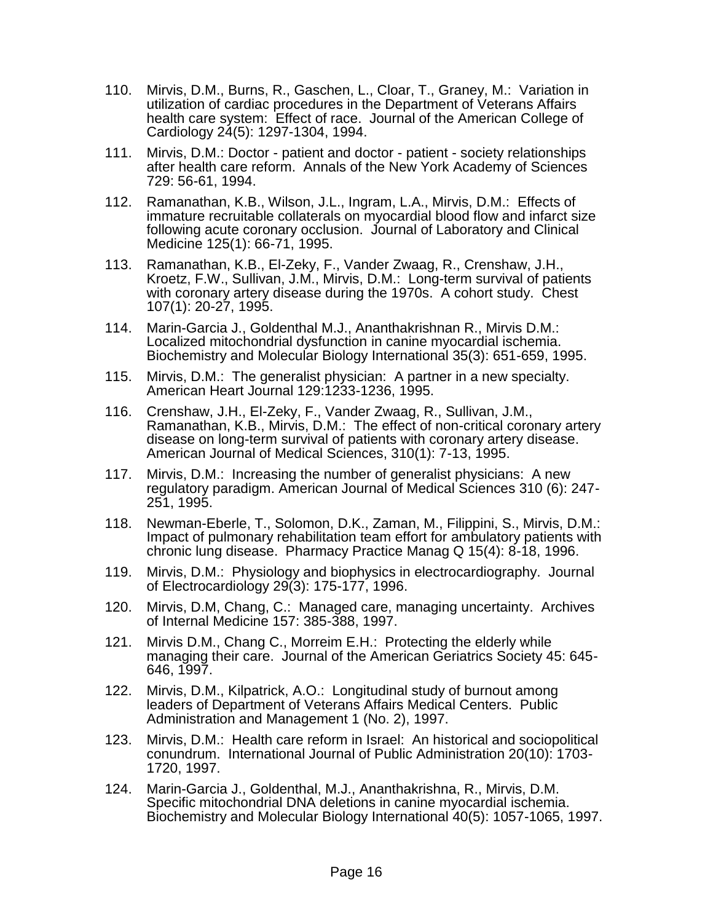- 110. Mirvis, D.M., Burns, R., Gaschen, L., Cloar, T., Graney, M.: Variation in utilization of cardiac procedures in the Department of Veterans Affairs health care system: Effect of race. Journal of the American College of Cardiology 24(5): 1297-1304, 1994.
- 111. Mirvis, D.M.: Doctor patient and doctor patient society relationships after health care reform. Annals of the New York Academy of Sciences 729: 56-61, 1994.
- 112. Ramanathan, K.B., Wilson, J.L., Ingram, L.A., Mirvis, D.M.: Effects of immature recruitable collaterals on myocardial blood flow and infarct size following acute coronary occlusion. Journal of Laboratory and Clinical Medicine 125(1): 66-71, 1995.
- 113. Ramanathan, K.B., El-Zeky, F., Vander Zwaag, R., Crenshaw, J.H., Kroetz, F.W., Sullivan, J.M., Mirvis, D.M.: Long-term survival of patients with coronary artery disease during the 1970s. A cohort study. Chest 107(1): 20-27, 1995.
- 114. Marin-Garcia J., Goldenthal M.J., Ananthakrishnan R., Mirvis D.M.: Localized mitochondrial dysfunction in canine myocardial ischemia. Biochemistry and Molecular Biology International 35(3): 651-659, 1995.
- 115. Mirvis, D.M.: The generalist physician: A partner in a new specialty. American Heart Journal 129:1233-1236, 1995.
- 116. Crenshaw, J.H., El-Zeky, F., Vander Zwaag, R., Sullivan, J.M., Ramanathan, K.B., Mirvis, D.M.: The effect of non-critical coronary artery disease on long-term survival of patients with coronary artery disease. American Journal of Medical Sciences, 310(1): 7-13, 1995.
- 117. Mirvis, D.M.: Increasing the number of generalist physicians: A new regulatory paradigm. American Journal of Medical Sciences 310 (6): 247- 251, 1995.
- 118. Newman-Eberle, T., Solomon, D.K., Zaman, M., Filippini, S., Mirvis, D.M.: Impact of pulmonary rehabilitation team effort for ambulatory patients with chronic lung disease. Pharmacy Practice Manag Q 15(4): 8-18, 1996.
- 119. Mirvis, D.M.: Physiology and biophysics in electrocardiography. Journal of Electrocardiology 29(3): 175-177, 1996.
- 120. Mirvis, D.M, Chang, C.: Managed care, managing uncertainty. Archives of Internal Medicine 157: 385-388, 1997.
- 121. Mirvis D.M., Chang C., Morreim E.H.: Protecting the elderly while managing their care. Journal of the American Geriatrics Society 45: 645- 646, 1997.
- 122. Mirvis, D.M., Kilpatrick, A.O.: Longitudinal study of burnout among leaders of Department of Veterans Affairs Medical Centers. Public Administration and Management 1 (No. 2), 1997.
- 123. Mirvis, D.M.: Health care reform in Israel: An historical and sociopolitical conundrum. International Journal of Public Administration 20(10): 1703- 1720, 1997.
- 124. Marin-Garcia J., Goldenthal, M.J., Ananthakrishna, R., Mirvis, D.M. Specific mitochondrial DNA deletions in canine myocardial ischemia. Biochemistry and Molecular Biology International 40(5): 1057-1065, 1997.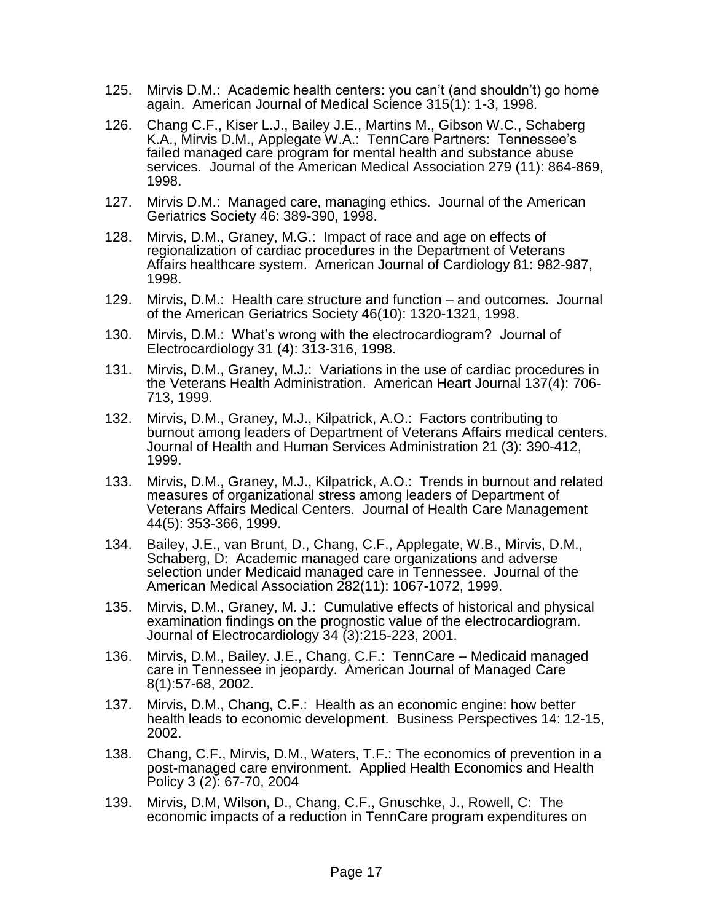- 125. Mirvis D.M.: Academic health centers: you can't (and shouldn't) go home again. American Journal of Medical Science 315(1): 1-3, 1998.
- 126. Chang C.F., Kiser L.J., Bailey J.E., Martins M., Gibson W.C., Schaberg K.A., Mirvis D.M., Applegate W.A.: TennCare Partners: Tennessee's failed managed care program for mental health and substance abuse services. Journal of the American Medical Association 279 (11): 864-869, 1998.
- 127. Mirvis D.M.: Managed care, managing ethics. Journal of the American Geriatrics Society 46: 389-390, 1998.
- 128. Mirvis, D.M., Graney, M.G.: Impact of race and age on effects of regionalization of cardiac procedures in the Department of Veterans Affairs healthcare system. American Journal of Cardiology 81: 982-987, 1998.
- 129. Mirvis, D.M.: Health care structure and function and outcomes. Journal of the American Geriatrics Society 46(10): 1320-1321, 1998.
- 130. Mirvis, D.M.: What's wrong with the electrocardiogram? Journal of Electrocardiology 31 (4): 313-316, 1998.
- 131. Mirvis, D.M., Graney, M.J.: Variations in the use of cardiac procedures in the Veterans Health Administration. American Heart Journal 137(4): 706- 713, 1999.
- 132. Mirvis, D.M., Graney, M.J., Kilpatrick, A.O.: Factors contributing to burnout among leaders of Department of Veterans Affairs medical centers. Journal of Health and Human Services Administration 21 (3): 390-412, 1999.
- 133. Mirvis, D.M., Graney, M.J., Kilpatrick, A.O.: Trends in burnout and related measures of organizational stress among leaders of Department of Veterans Affairs Medical Centers. Journal of Health Care Management 44(5): 353-366, 1999.
- 134. Bailey, J.E., van Brunt, D., Chang, C.F., Applegate, W.B., Mirvis, D.M., Schaberg, D: Academic managed care organizations and adverse selection under Medicaid managed care in Tennessee. Journal of the American Medical Association 282(11): 1067-1072, 1999.
- 135. Mirvis, D.M., Graney, M. J.: Cumulative effects of historical and physical examination findings on the prognostic value of the electrocardiogram. Journal of Electrocardiology 34 (3):215-223, 2001.
- 136. Mirvis, D.M., Bailey. J.E., Chang, C.F.: TennCare Medicaid managed care in Tennessee in jeopardy. American Journal of Managed Care 8(1):57-68, 2002.
- 137. Mirvis, D.M., Chang, C.F.: Health as an economic engine: how better health leads to economic development. Business Perspectives 14: 12-15, 2002.
- 138. Chang, C.F., Mirvis, D.M., Waters, T.F.: The economics of prevention in a post-managed care environment. Applied Health Economics and Health Policy 3 (2): 67-70, 2004
- 139. Mirvis, D.M, Wilson, D., Chang, C.F., Gnuschke, J., Rowell, C: The economic impacts of a reduction in TennCare program expenditures on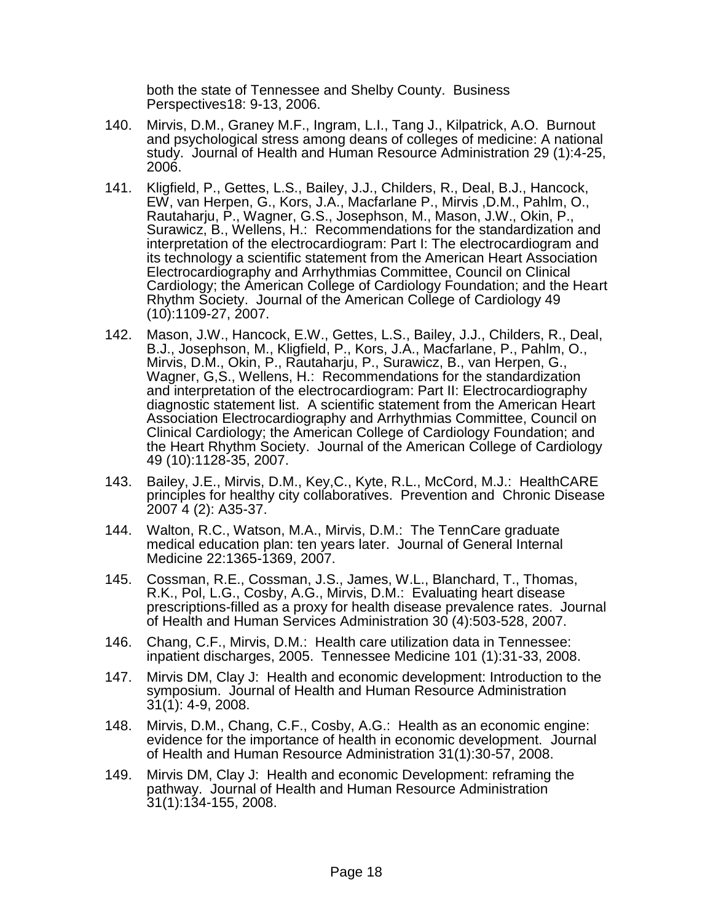both the state of Tennessee and Shelby County. Business Perspectives18: 9-13, 2006.

- 140. Mirvis, D.M., Graney M.F., Ingram, L.I., Tang J., Kilpatrick, A.O. Burnout and psychological stress among deans of colleges of medicine: A national study. Journal of Health and Human Resource Administration 29 (1):4-25, 2006.
- 141. Kligfield, P., Gettes, L.S., Bailey, J.J., Childers, R., Deal, [B.J., Hancock,](http://www.ncbi.nlm.nih.gov/entrez/query.fcgi?db=pubmed&cmd=Retrieve&dopt=AbstractPlus&list_uids=17349896&query_hl=3&itool=pubmed_docsum) EW, van Herpen, G., Kors, [J.A., Macfarlane P., Mirvis ,D.M., Pahlm,](http://www.ncbi.nlm.nih.gov/entrez/query.fcgi?db=pubmed&cmd=Retrieve&dopt=AbstractPlus&list_uids=17349896&query_hl=3&itool=pubmed_docsum) O., Rautaharju, P., Wagner, [G.S., Josephson,](http://www.ncbi.nlm.nih.gov/entrez/query.fcgi?db=pubmed&cmd=Retrieve&dopt=AbstractPlus&list_uids=17349896&query_hl=3&itool=pubmed_docsum) M., Mason, J.W., Okin, P., Surawicz, [B., Wellens,](http://www.ncbi.nlm.nih.gov/entrez/query.fcgi?db=pubmed&cmd=Retrieve&dopt=AbstractPlus&list_uids=17349896&query_hl=3&itool=pubmed_docsum) H.: Recommendations for the standardization and interpretation of the electrocardiogram: Part I: The electrocardiogram and its technology a scientific statement from the American Heart Association Electrocardiography and Arrhythmias Committee, Council on Clinical Cardiology; the American College of Cardiology Foundation; and the Heart Rhythm Society. Journal of the American College of Cardiology 49 (10):1109-27, 2007.
- 142. Mason, [J.W., Hancock,](http://www.ncbi.nlm.nih.gov/entrez/query.fcgi?db=pubmed&cmd=Retrieve&dopt=AbstractPlus&list_uids=17349897&query_hl=3&itool=pubmed_docsum) E.W., Gettes, L.S., Bailey, J.J., Childers, R., Deal, B.J., Josephson, M., Kligfield, P., Kors, [J.A., Macfarlane,](http://www.ncbi.nlm.nih.gov/entrez/query.fcgi?db=pubmed&cmd=Retrieve&dopt=AbstractPlus&list_uids=17349897&query_hl=3&itool=pubmed_docsum) P., Pahlm, O., Mirvis, D.M., Okin, P., Rautaharju, P., Surawicz, [B., van Herpen,](http://www.ncbi.nlm.nih.gov/entrez/query.fcgi?db=pubmed&cmd=Retrieve&dopt=AbstractPlus&list_uids=17349897&query_hl=3&itool=pubmed_docsum) G., Wagner, [G,S., Wellens,](http://www.ncbi.nlm.nih.gov/entrez/query.fcgi?db=pubmed&cmd=Retrieve&dopt=AbstractPlus&list_uids=17349897&query_hl=3&itool=pubmed_docsum) H.: Recommendations for the standardization and interpretation of the electrocardiogram: Part II: Electrocardiography diagnostic statement list. A scientific statement from the American Heart Association Electrocardiography and Arrhythmias Committee, Council on Clinical Cardiology; the American College of Cardiology Foundation; and the Heart Rhythm Society. Journal of the American College of Cardiology 49 (10):1128-35, 2007.
- 143. Bailey, J.E., Mirvis, D.M., Key,C., Kyte, R.L., McCord, M.J.: HealthCARE principles for healthy city collaboratives. Prevention and Chronic Disease 2007 4 (2): A35-37.
- 144. Walton, R.C., Watson, M.A., Mirvis, D.M.: The TennCare graduate medical education plan: ten years later. Journal of General Internal Medicine 22:1365-1369, 2007.
- 145. Cossman, R.E., Cossman, J.S., James, W.L., Blanchard, T., Thomas, R.K., Pol, L.G., Cosby, A.G., Mirvis, D.M.: Evaluating heart disease prescriptions-filled as a proxy for health disease prevalence rates. Journal of Health and Human Services Administration 30 (4):503-528, 2007.
- 146. Chang, C.F., Mirvis, D.M.: Health care utilization data in Tennessee: inpatient discharges, 2005. Tennessee Medicine 101 (1):31-33, 2008.
- 147. Mirvis DM, Clay J: Health and economic development: Introduction to the symposium. Journal of Health and Human Resource Administration 31(1): 4-9, 2008.
- 148. Mirvis, D.M., Chang, C.F., Cosby, A.G.: Health as an economic engine: evidence for the importance of health in economic development. Journal of Health and Human Resource Administration 31(1):30-57, 2008.
- 149. Mirvis DM, Clay J: Health and economic Development: reframing the pathway. Journal of Health and Human Resource Administration 31(1):134-155, 2008.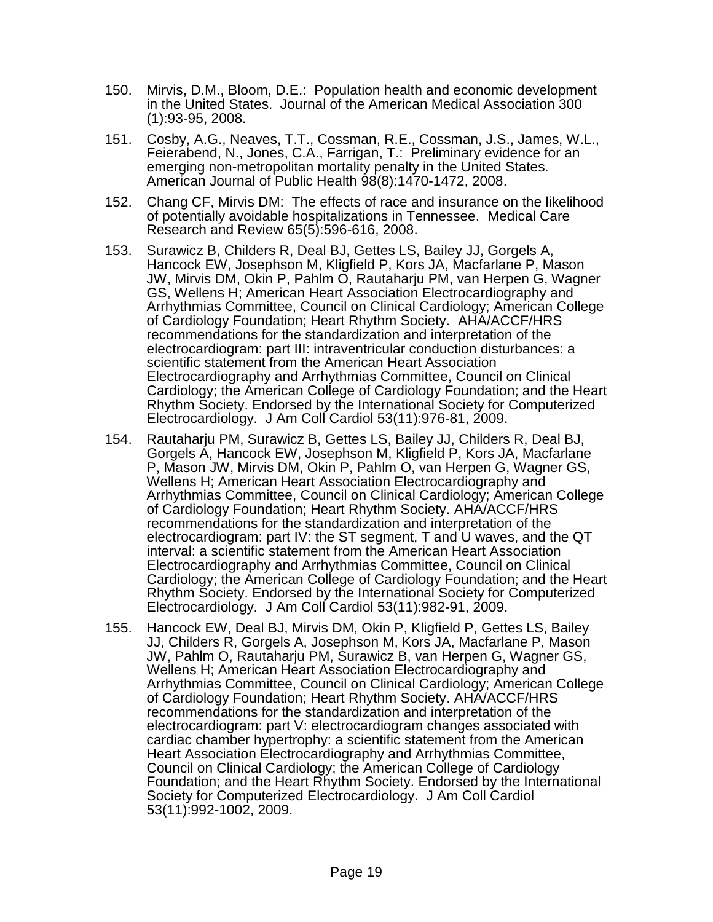- 150. Mirvis, D.M., Bloom, D.E.: Population health and economic development in the United States. Journal of the American Medical Association 300 (1):93-95, 2008.
- 151. Cosby, A.G., Neaves, T.T., Cossman, R.E., Cossman, J.S., James, W.L., Feierabend, N., Jones, C.A., Farrigan, T.: Preliminary evidence for an emerging non-metropolitan mortality penalty in the United States. American Journal of Public Health 98(8):1470-1472, 2008.
- 152. Chang CF, Mirvis DM: The effects of race and insurance on the likelihood of potentially avoidable hospitalizations in Tennessee. Medical Care Research and Review 65(5):596-616, 2008.
- 153. Surawicz B, Childers R, Deal BJ, Gettes LS, Bailey JJ, Gorgels A, Hancock EW, Josephson M, Kligfield P, Kors JA, Macfarlane P, Mason JW, Mirvis DM, Okin P, Pahlm O, Rautaharju PM, van Herpen G, Wagner GS, Wellens H; American Heart Association Electrocardiography and Arrhythmias Committee, Council on Clinical Cardiology; American College of Cardiology Foundation; Heart Rhythm Society. [AHA/ACCF/HRS](http://www.ncbi.nlm.nih.gov/pubmed/19281930?ordinalpos=5&itool=EntrezSystem2.PEntrez.Pubmed.Pubmed_ResultsPanel.Pubmed_DefaultReportPanel.Pubmed_RVDocSum)  [recommendations for the standardization and interpretation of the](http://www.ncbi.nlm.nih.gov/pubmed/19281930?ordinalpos=5&itool=EntrezSystem2.PEntrez.Pubmed.Pubmed_ResultsPanel.Pubmed_DefaultReportPanel.Pubmed_RVDocSum)  [electrocardiogram: part III: intraventricular conduction disturbances: a](http://www.ncbi.nlm.nih.gov/pubmed/19281930?ordinalpos=5&itool=EntrezSystem2.PEntrez.Pubmed.Pubmed_ResultsPanel.Pubmed_DefaultReportPanel.Pubmed_RVDocSum)  [scientific statement from the American Heart Association](http://www.ncbi.nlm.nih.gov/pubmed/19281930?ordinalpos=5&itool=EntrezSystem2.PEntrez.Pubmed.Pubmed_ResultsPanel.Pubmed_DefaultReportPanel.Pubmed_RVDocSum)  [Electrocardiography and Arrhythmias Committee, Council on Clinical](http://www.ncbi.nlm.nih.gov/pubmed/19281930?ordinalpos=5&itool=EntrezSystem2.PEntrez.Pubmed.Pubmed_ResultsPanel.Pubmed_DefaultReportPanel.Pubmed_RVDocSum)  [Cardiology; the American College of Cardiology Foundation; and the Heart](http://www.ncbi.nlm.nih.gov/pubmed/19281930?ordinalpos=5&itool=EntrezSystem2.PEntrez.Pubmed.Pubmed_ResultsPanel.Pubmed_DefaultReportPanel.Pubmed_RVDocSum)  [Rhythm Society. Endorsed by the International Society for Computerized](http://www.ncbi.nlm.nih.gov/pubmed/19281930?ordinalpos=5&itool=EntrezSystem2.PEntrez.Pubmed.Pubmed_ResultsPanel.Pubmed_DefaultReportPanel.Pubmed_RVDocSum)  [Electrocardiology.](http://www.ncbi.nlm.nih.gov/pubmed/19281930?ordinalpos=5&itool=EntrezSystem2.PEntrez.Pubmed.Pubmed_ResultsPanel.Pubmed_DefaultReportPanel.Pubmed_RVDocSum) J Am Coll Cardiol 53(11):976-81, 2009.
- 154. Rautaharju PM, Surawicz B, Gettes LS, Bailey JJ, Childers R, Deal BJ, Gorgels A, Hancock EW, Josephson M, Kligfield P, Kors JA, Macfarlane P, Mason JW, Mirvis DM, Okin P, Pahlm O, van Herpen G, Wagner GS, Wellens H; American Heart Association Electrocardiography and Arrhythmias Committee, Council on Clinical Cardiology; American College of Cardiology Foundation; Heart Rhythm Society. [AHA/ACCF/HRS](http://www.ncbi.nlm.nih.gov/pubmed/19281931?ordinalpos=4&itool=EntrezSystem2.PEntrez.Pubmed.Pubmed_ResultsPanel.Pubmed_DefaultReportPanel.Pubmed_RVDocSum)  [recommendations for the standardization and interpretation of the](http://www.ncbi.nlm.nih.gov/pubmed/19281931?ordinalpos=4&itool=EntrezSystem2.PEntrez.Pubmed.Pubmed_ResultsPanel.Pubmed_DefaultReportPanel.Pubmed_RVDocSum)  [electrocardiogram: part IV: the ST segment, T and U waves, and the QT](http://www.ncbi.nlm.nih.gov/pubmed/19281931?ordinalpos=4&itool=EntrezSystem2.PEntrez.Pubmed.Pubmed_ResultsPanel.Pubmed_DefaultReportPanel.Pubmed_RVDocSum)  [interval: a scientific statement from the American Heart Association](http://www.ncbi.nlm.nih.gov/pubmed/19281931?ordinalpos=4&itool=EntrezSystem2.PEntrez.Pubmed.Pubmed_ResultsPanel.Pubmed_DefaultReportPanel.Pubmed_RVDocSum)  [Electrocardiography and Arrhythmias Committee, Council on Clinical](http://www.ncbi.nlm.nih.gov/pubmed/19281931?ordinalpos=4&itool=EntrezSystem2.PEntrez.Pubmed.Pubmed_ResultsPanel.Pubmed_DefaultReportPanel.Pubmed_RVDocSum)  [Cardiology; the American College of Cardiology Foundation; and the Heart](http://www.ncbi.nlm.nih.gov/pubmed/19281931?ordinalpos=4&itool=EntrezSystem2.PEntrez.Pubmed.Pubmed_ResultsPanel.Pubmed_DefaultReportPanel.Pubmed_RVDocSum)  [Rhythm Society. Endorsed by the International Society for Computerized](http://www.ncbi.nlm.nih.gov/pubmed/19281931?ordinalpos=4&itool=EntrezSystem2.PEntrez.Pubmed.Pubmed_ResultsPanel.Pubmed_DefaultReportPanel.Pubmed_RVDocSum)  [Electrocardiology.](http://www.ncbi.nlm.nih.gov/pubmed/19281931?ordinalpos=4&itool=EntrezSystem2.PEntrez.Pubmed.Pubmed_ResultsPanel.Pubmed_DefaultReportPanel.Pubmed_RVDocSum) J Am Coll Cardiol 53(11):982-91, 2009.
- 155. Hancock EW, Deal BJ, Mirvis DM, Okin P, Kligfield P, Gettes LS, Bailey JJ, Childers R, Gorgels A, Josephson M, Kors JA, Macfarlane P, Mason JW, Pahlm O, Rautaharju PM, Surawicz B, van Herpen G, Wagner GS, Wellens H; American Heart Association Electrocardiography and Arrhythmias Committee, Council on Clinical Cardiology; American College of Cardiology Foundation; Heart Rhythm Societ[y. AHA/ACCF/HRS](http://www.ncbi.nlm.nih.gov/pubmed/19281932?ordinalpos=3&itool=EntrezSystem2.PEntrez.Pubmed.Pubmed_ResultsPanel.Pubmed_DefaultReportPanel.Pubmed_RVDocSum)  [recommendations for the standardization and interpretation of the](http://www.ncbi.nlm.nih.gov/pubmed/19281932?ordinalpos=3&itool=EntrezSystem2.PEntrez.Pubmed.Pubmed_ResultsPanel.Pubmed_DefaultReportPanel.Pubmed_RVDocSum)  [electrocardiogram: part V: electrocardiogram changes associated with](http://www.ncbi.nlm.nih.gov/pubmed/19281932?ordinalpos=3&itool=EntrezSystem2.PEntrez.Pubmed.Pubmed_ResultsPanel.Pubmed_DefaultReportPanel.Pubmed_RVDocSum)  [cardiac chamber hypertrophy: a scientific statement from the American](http://www.ncbi.nlm.nih.gov/pubmed/19281932?ordinalpos=3&itool=EntrezSystem2.PEntrez.Pubmed.Pubmed_ResultsPanel.Pubmed_DefaultReportPanel.Pubmed_RVDocSum)  [Heart Association Electrocardiography and Arrhythmias Committee,](http://www.ncbi.nlm.nih.gov/pubmed/19281932?ordinalpos=3&itool=EntrezSystem2.PEntrez.Pubmed.Pubmed_ResultsPanel.Pubmed_DefaultReportPanel.Pubmed_RVDocSum)  [Council on Clinical Cardiology; the American College of Cardiology](http://www.ncbi.nlm.nih.gov/pubmed/19281932?ordinalpos=3&itool=EntrezSystem2.PEntrez.Pubmed.Pubmed_ResultsPanel.Pubmed_DefaultReportPanel.Pubmed_RVDocSum)  [Foundation; and the Heart Rhythm Society. Endorsed by the International](http://www.ncbi.nlm.nih.gov/pubmed/19281932?ordinalpos=3&itool=EntrezSystem2.PEntrez.Pubmed.Pubmed_ResultsPanel.Pubmed_DefaultReportPanel.Pubmed_RVDocSum)  [Society for Computerized Electrocardiology.](http://www.ncbi.nlm.nih.gov/pubmed/19281932?ordinalpos=3&itool=EntrezSystem2.PEntrez.Pubmed.Pubmed_ResultsPanel.Pubmed_DefaultReportPanel.Pubmed_RVDocSum) J Am Coll Cardiol 53(11):992-1002, 2009.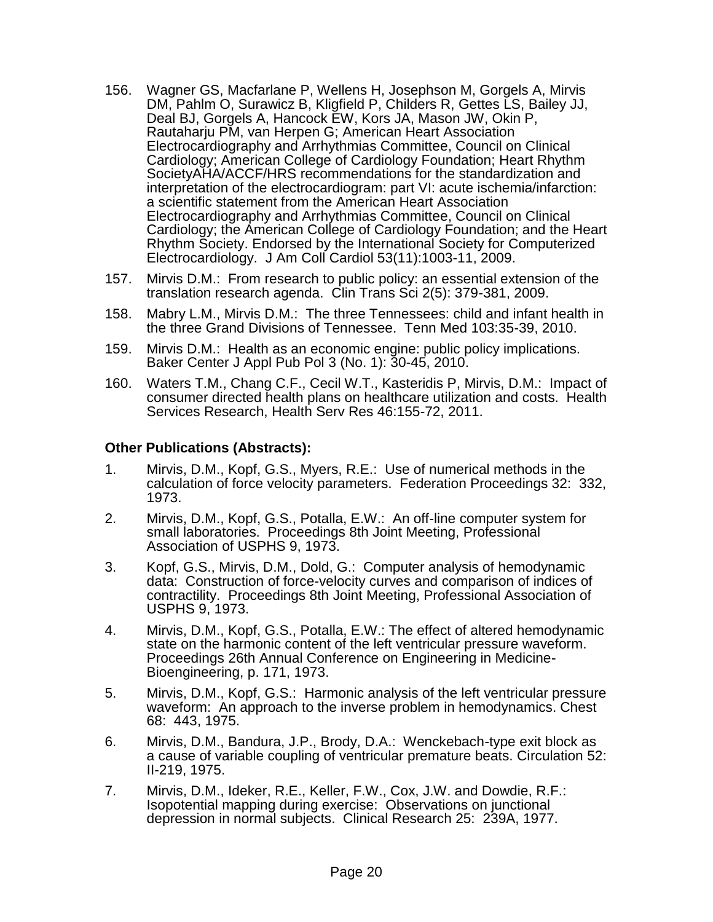- 156. Wagner GS, Macfarlane P, Wellens H, Josephson M, Gorgels A, Mirvis DM, Pahlm O, Surawicz B, Kligfield P, Childers R, Gettes LS, Bailey JJ, Deal BJ, Gorgels A, Hancock EW, Kors JA, Mason JW, Okin P, Rautaharju PM, van Herpen G; American Heart Association Electrocardiography and Arrhythmias Committee, Council on Clinical Cardiology; American College of Cardiology Foundation; Heart Rhythm Societ[yAHA/ACCF/HRS recommendations for the standardization and](http://www.ncbi.nlm.nih.gov/pubmed/19281933?ordinalpos=2&itool=EntrezSystem2.PEntrez.Pubmed.Pubmed_ResultsPanel.Pubmed_DefaultReportPanel.Pubmed_RVDocSum)  [interpretation of the electrocardiogram: part VI: acute ischemia/infarction:](http://www.ncbi.nlm.nih.gov/pubmed/19281933?ordinalpos=2&itool=EntrezSystem2.PEntrez.Pubmed.Pubmed_ResultsPanel.Pubmed_DefaultReportPanel.Pubmed_RVDocSum)  [a scientific statement from the American Heart Association](http://www.ncbi.nlm.nih.gov/pubmed/19281933?ordinalpos=2&itool=EntrezSystem2.PEntrez.Pubmed.Pubmed_ResultsPanel.Pubmed_DefaultReportPanel.Pubmed_RVDocSum)  [Electrocardiography and Arrhythmias Committee, Council on Clinical](http://www.ncbi.nlm.nih.gov/pubmed/19281933?ordinalpos=2&itool=EntrezSystem2.PEntrez.Pubmed.Pubmed_ResultsPanel.Pubmed_DefaultReportPanel.Pubmed_RVDocSum)  [Cardiology; the American College of Cardiology Foundation; and the Heart](http://www.ncbi.nlm.nih.gov/pubmed/19281933?ordinalpos=2&itool=EntrezSystem2.PEntrez.Pubmed.Pubmed_ResultsPanel.Pubmed_DefaultReportPanel.Pubmed_RVDocSum)  [Rhythm Society. Endorsed by the International Society for Computerized](http://www.ncbi.nlm.nih.gov/pubmed/19281933?ordinalpos=2&itool=EntrezSystem2.PEntrez.Pubmed.Pubmed_ResultsPanel.Pubmed_DefaultReportPanel.Pubmed_RVDocSum)  [Electrocardiology.](http://www.ncbi.nlm.nih.gov/pubmed/19281933?ordinalpos=2&itool=EntrezSystem2.PEntrez.Pubmed.Pubmed_ResultsPanel.Pubmed_DefaultReportPanel.Pubmed_RVDocSum) J Am Coll Cardiol 53(11):1003-11, 2009.
- 157. Mirvis D.M.: From research to public policy: an essential extension of the translation research agenda. Clin Trans Sci 2(5): 379-381, 2009.
- 158. Mabry L.M., Mirvis D.M.: The three Tennessees: child and infant health in the three Grand Divisions of Tennessee. Tenn Med 103:35-39, 2010.
- 159. Mirvis D.M.: Health as an economic engine: public policy implications. Baker Center J Appl Pub Pol 3 (No. 1): 30-45, 2010.
- 160. Waters T.M., Chang C.F., Cecil W.T., Kasteridis P, Mirvis, D.M.: Impact of consumer directed health plans on healthcare utilization and costs. Health Services Research, Health Serv Res 46:155-72, 2011.

#### **Other Publications (Abstracts):**

- 1. Mirvis, D.M., Kopf, G.S., Myers, R.E.: Use of numerical methods in the calculation of force velocity parameters. Federation Proceedings 32: 332, 1973.
- 2. Mirvis, D.M., Kopf, G.S., Potalla, E.W.: An off-line computer system for small laboratories. Proceedings 8th Joint Meeting, Professional Association of USPHS 9, 1973.
- 3. Kopf, G.S., Mirvis, D.M., Dold, G.: Computer analysis of hemodynamic data: Construction of force-velocity curves and comparison of indices of contractility. Proceedings 8th Joint Meeting, Professional Association of USPHS 9, 1973.
- 4. Mirvis, D.M., Kopf, G.S., Potalla, E.W.: The effect of altered hemodynamic state on the harmonic content of the left ventricular pressure waveform. Proceedings 26th Annual Conference on Engineering in Medicine-Bioengineering, p. 171, 1973.
- 5. Mirvis, D.M., Kopf, G.S.: Harmonic analysis of the left ventricular pressure waveform: An approach to the inverse problem in hemodynamics. Chest 68: 443, 1975.
- 6. Mirvis, D.M., Bandura, J.P., Brody, D.A.: Wenckebach-type exit block as a cause of variable coupling of ventricular premature beats. Circulation 52: II-219, 1975.
- 7. Mirvis, D.M., Ideker, R.E., Keller, F.W., Cox, J.W. and Dowdie, R.F.: Isopotential mapping during exercise: Observations on junctional depression in normal subjects. Clinical Research 25: 239A, 1977.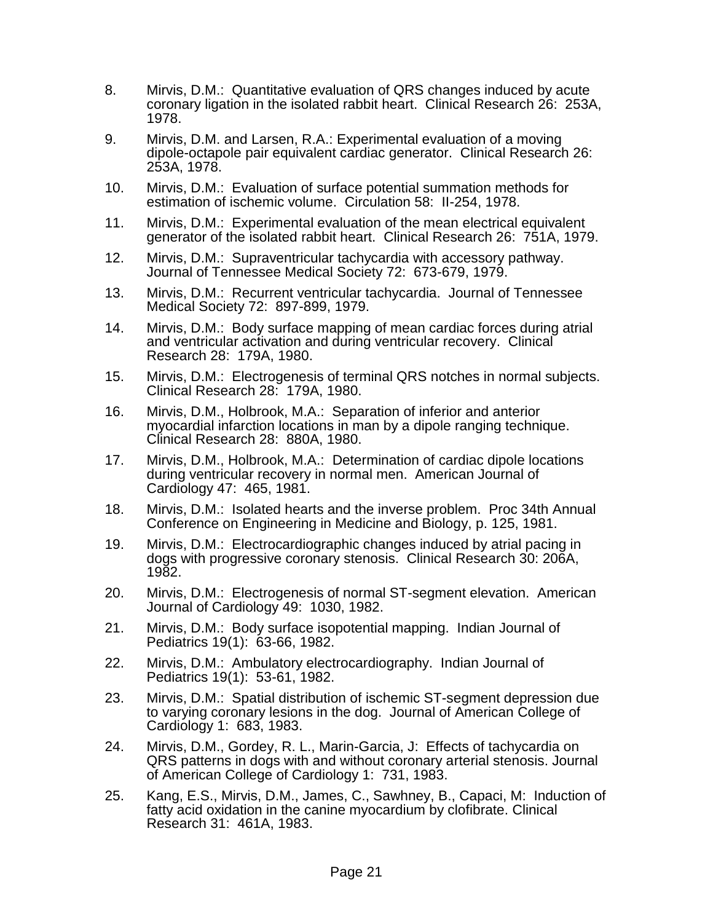- 8. Mirvis, D.M.: Quantitative evaluation of QRS changes induced by acute coronary ligation in the isolated rabbit heart. Clinical Research 26: 253A, 1978.
- 9. Mirvis, D.M. and Larsen, R.A.: Experimental evaluation of a moving dipole-octapole pair equivalent cardiac generator. Clinical Research 26: 253A, 1978.
- 10. Mirvis, D.M.: Evaluation of surface potential summation methods for estimation of ischemic volume. Circulation 58: II-254, 1978.
- 11. Mirvis, D.M.: Experimental evaluation of the mean electrical equivalent generator of the isolated rabbit heart. Clinical Research 26: 751A, 1979.
- 12. Mirvis, D.M.: Supraventricular tachycardia with accessory pathway. Journal of Tennessee Medical Society 72: 673-679, 1979.
- 13. Mirvis, D.M.: Recurrent ventricular tachycardia. Journal of Tennessee Medical Society 72: 897-899, 1979.
- 14. Mirvis, D.M.: Body surface mapping of mean cardiac forces during atrial and ventricular activation and during ventricular recovery. Clinical Research 28: 179A, 1980.
- 15. Mirvis, D.M.: Electrogenesis of terminal QRS notches in normal subjects. Clinical Research 28: 179A, 1980.
- 16. Mirvis, D.M., Holbrook, M.A.: Separation of inferior and anterior myocardial infarction locations in man by a dipole ranging technique. Clinical Research 28: 880A, 1980.
- 17. Mirvis, D.M., Holbrook, M.A.: Determination of cardiac dipole locations during ventricular recovery in normal men. American Journal of Cardiology 47: 465, 1981.
- 18. Mirvis, D.M.: Isolated hearts and the inverse problem. Proc 34th Annual Conference on Engineering in Medicine and Biology, p. 125, 1981.
- 19. Mirvis, D.M.: Electrocardiographic changes induced by atrial pacing in dogs with progressive coronary stenosis. Clinical Research 30: 206A, 1982.
- 20. Mirvis, D.M.: Electrogenesis of normal ST-segment elevation. American Journal of Cardiology 49: 1030, 1982.
- 21. Mirvis, D.M.: Body surface isopotential mapping. Indian Journal of Pediatrics 19(1): 63-66, 1982.
- 22. Mirvis, D.M.: Ambulatory electrocardiography. Indian Journal of Pediatrics 19(1): 53-61, 1982.
- 23. Mirvis, D.M.: Spatial distribution of ischemic ST-segment depression due to varying coronary lesions in the dog. Journal of American College of Cardiology 1: 683, 1983.
- 24. Mirvis, D.M., Gordey, R. L., Marin-Garcia, J: Effects of tachycardia on QRS patterns in dogs with and without coronary arterial stenosis. Journal of American College of Cardiology 1: 731, 1983.
- 25. Kang, E.S., Mirvis, D.M., James, C., Sawhney, B., Capaci, M: Induction of fatty acid oxidation in the canine myocardium by clofibrate. Clinical Research 31: 461A, 1983.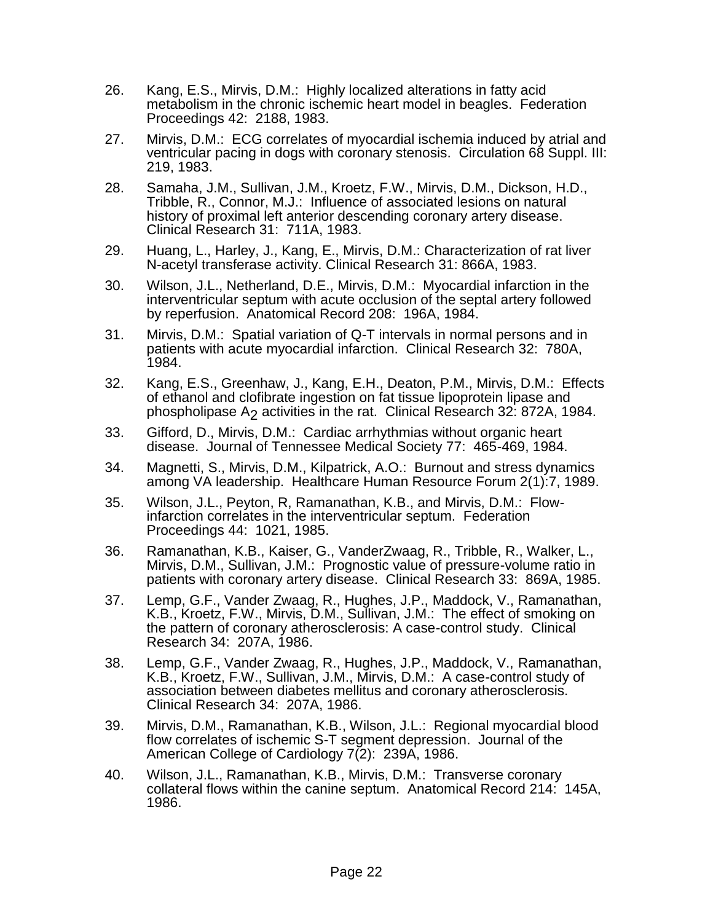- 26. Kang, E.S., Mirvis, D.M.: Highly localized alterations in fatty acid metabolism in the chronic ischemic heart model in beagles. Federation Proceedings 42: 2188, 1983.
- 27. Mirvis, D.M.: ECG correlates of myocardial ischemia induced by atrial and ventricular pacing in dogs with coronary stenosis. Circulation 68 Suppl. III: 219, 1983.
- 28. Samaha, J.M., Sullivan, J.M., Kroetz, F.W., Mirvis, D.M., Dickson, H.D., Tribble, R., Connor, M.J.: Influence of associated lesions on natural history of proximal left anterior descending coronary artery disease. Clinical Research 31: 711A, 1983.
- 29. Huang, L., Harley, J., Kang, E., Mirvis, D.M.: Characterization of rat liver N-acetyl transferase activity. Clinical Research 31: 866A, 1983.
- 30. Wilson, J.L., Netherland, D.E., Mirvis, D.M.: Myocardial infarction in the interventricular septum with acute occlusion of the septal artery followed by reperfusion. Anatomical Record 208: 196A, 1984.
- 31. Mirvis, D.M.: Spatial variation of Q-T intervals in normal persons and in patients with acute myocardial infarction. Clinical Research 32: 780A, 1984.
- 32. Kang, E.S., Greenhaw, J., Kang, E.H., Deaton, P.M., Mirvis, D.M.: Effects of ethanol and clofibrate ingestion on fat tissue lipoprotein lipase and phospholipase A2 activities in the rat. Clinical Research 32: 872A, 1984.
- 33. Gifford, D., Mirvis, D.M.: Cardiac arrhythmias without organic heart disease. Journal of Tennessee Medical Society 77: 465-469, 1984.
- 34. Magnetti, S., Mirvis, D.M., Kilpatrick, A.O.: Burnout and stress dynamics among VA leadership. Healthcare Human Resource Forum 2(1):7, 1989.
- 35. Wilson, J.L., Peyton, R, Ramanathan, K.B., and Mirvis, D.M.: Flowinfarction correlates in the interventricular septum. Federation Proceedings 44: 1021, 1985.
- 36. Ramanathan, K.B., Kaiser, G., VanderZwaag, R., Tribble, R., Walker, L., Mirvis, D.M., Sullivan, J.M.: Prognostic value of pressure-volume ratio in patients with coronary artery disease. Clinical Research 33: 869A, 1985.
- 37. Lemp, G.F., Vander Zwaag, R., Hughes, J.P., Maddock, V., Ramanathan, K.B., Kroetz, F.W., Mirvis, D.M., Sullivan, J.M.: The effect of smoking on the pattern of coronary atherosclerosis: A case-control study. Clinical Research 34: 207A, 1986.
- 38. Lemp, G.F., Vander Zwaag, R., Hughes, J.P., Maddock, V., Ramanathan, K.B., Kroetz, F.W., Sullivan, J.M., Mirvis, D.M.: A case-control study of association between diabetes mellitus and coronary atherosclerosis. Clinical Research 34: 207A, 1986.
- 39. Mirvis, D.M., Ramanathan, K.B., Wilson, J.L.: Regional myocardial blood flow correlates of ischemic S-T segment depression. Journal of the American College of Cardiology 7(2): 239A, 1986.
- 40. Wilson, J.L., Ramanathan, K.B., Mirvis, D.M.: Transverse coronary collateral flows within the canine septum. Anatomical Record 214: 145A, 1986.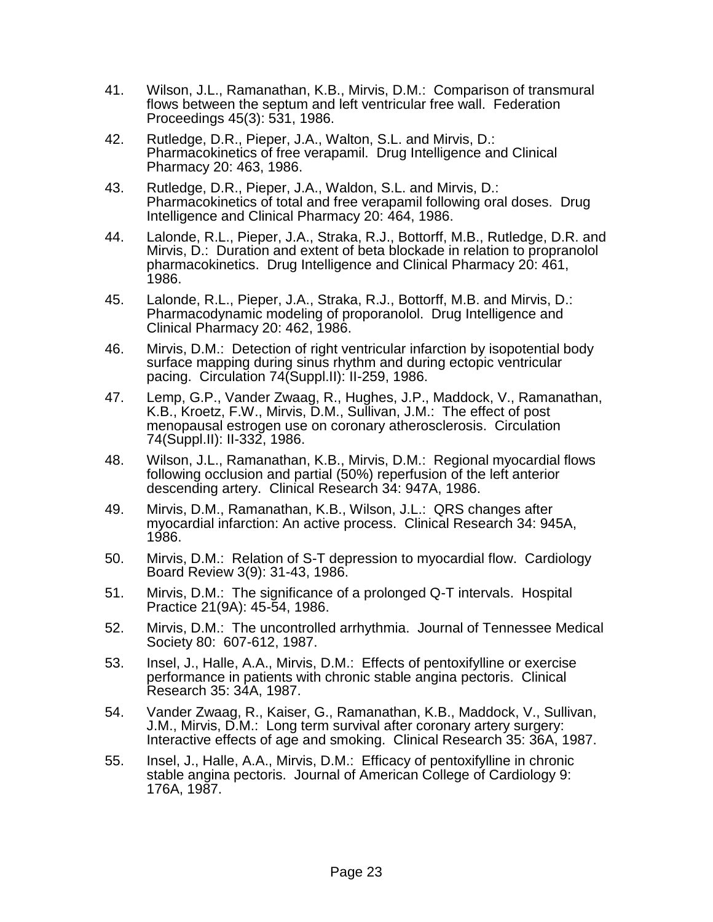- 41. Wilson, J.L., Ramanathan, K.B., Mirvis, D.M.: Comparison of transmural flows between the septum and left ventricular free wall. Federation Proceedings 45(3): 531, 1986.
- 42. Rutledge, D.R., Pieper, J.A., Walton, S.L. and Mirvis, D.: Pharmacokinetics of free verapamil. Drug Intelligence and Clinical Pharmacy 20: 463, 1986.
- 43. Rutledge, D.R., Pieper, J.A., Waldon, S.L. and Mirvis, D.: Pharmacokinetics of total and free verapamil following oral doses. Drug Intelligence and Clinical Pharmacy 20: 464, 1986.
- 44. Lalonde, R.L., Pieper, J.A., Straka, R.J., Bottorff, M.B., Rutledge, D.R. and Mirvis, D.: Duration and extent of beta blockade in relation to propranolol pharmacokinetics. Drug Intelligence and Clinical Pharmacy 20: 461, 1986.
- 45. Lalonde, R.L., Pieper, J.A., Straka, R.J., Bottorff, M.B. and Mirvis, D.: Pharmacodynamic modeling of proporanolol. Drug Intelligence and Clinical Pharmacy 20: 462, 1986.
- 46. Mirvis, D.M.: Detection of right ventricular infarction by isopotential body surface mapping during sinus rhythm and during ectopic ventricular pacing. Circulation 74(Suppl.II): II-259, 1986.
- 47. Lemp, G.P., Vander Zwaag, R., Hughes, J.P., Maddock, V., Ramanathan, K.B., Kroetz, F.W., Mirvis, D.M., Sullivan, J.M.: The effect of post menopausal estrogen use on coronary atherosclerosis. Circulation 74(Suppl.II): II-332, 1986.
- 48. Wilson, J.L., Ramanathan, K.B., Mirvis, D.M.: Regional myocardial flows following occlusion and partial (50%) reperfusion of the left anterior descending artery. Clinical Research 34: 947A, 1986.
- 49. Mirvis, D.M., Ramanathan, K.B., Wilson, J.L.: QRS changes after myocardial infarction: An active process. Clinical Research 34: 945A, 1986.
- 50. Mirvis, D.M.: Relation of S-T depression to myocardial flow. Cardiology Board Review 3(9): 31-43, 1986.
- 51. Mirvis, D.M.: The significance of a prolonged Q-T intervals. Hospital Practice 21(9A): 45-54, 1986.
- 52. Mirvis, D.M.: The uncontrolled arrhythmia. Journal of Tennessee Medical Society 80: 607-612, 1987.
- 53. Insel, J., Halle, A.A., Mirvis, D.M.: Effects of pentoxifylline or exercise performance in patients with chronic stable angina pectoris. Clinical Research 35: 34A, 1987.
- 54. Vander Zwaag, R., Kaiser, G., Ramanathan, K.B., Maddock, V., Sullivan, J.M., Mirvis, D.M.: Long term survival after coronary artery surgery: Interactive effects of age and smoking. Clinical Research 35: 36A, 1987.
- 55. Insel, J., Halle, A.A., Mirvis, D.M.: Efficacy of pentoxifylline in chronic stable angina pectoris. Journal of American College of Cardiology 9: 176A, 1987.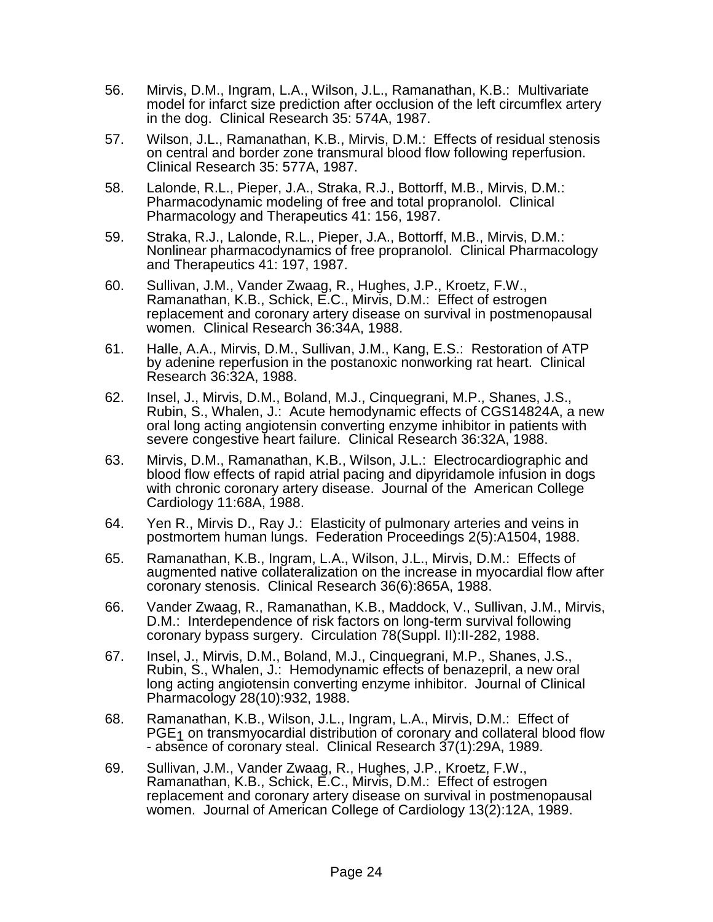- 56. Mirvis, D.M., Ingram, L.A., Wilson, J.L., Ramanathan, K.B.: Multivariate model for infarct size prediction after occlusion of the left circumflex artery in the dog. Clinical Research 35: 574A, 1987.
- 57. Wilson, J.L., Ramanathan, K.B., Mirvis, D.M.: Effects of residual stenosis on central and border zone transmural blood flow following reperfusion. Clinical Research 35: 577A, 1987.
- 58. Lalonde, R.L., Pieper, J.A., Straka, R.J., Bottorff, M.B., Mirvis, D.M.: Pharmacodynamic modeling of free and total propranolol. Clinical Pharmacology and Therapeutics 41: 156, 1987.
- 59. Straka, R.J., Lalonde, R.L., Pieper, J.A., Bottorff, M.B., Mirvis, D.M.: Nonlinear pharmacodynamics of free propranolol. Clinical Pharmacology and Therapeutics 41: 197, 1987.
- 60. Sullivan, J.M., Vander Zwaag, R., Hughes, J.P., Kroetz, F.W., Ramanathan, K.B., Schick, E.C., Mirvis, D.M.: Effect of estrogen replacement and coronary artery disease on survival in postmenopausal women. Clinical Research 36:34A, 1988.
- 61. Halle, A.A., Mirvis, D.M., Sullivan, J.M., Kang, E.S.: Restoration of ATP by adenine reperfusion in the postanoxic nonworking rat heart. Clinical Research 36:32A, 1988.
- 62. Insel, J., Mirvis, D.M., Boland, M.J., Cinquegrani, M.P., Shanes, J.S., Rubin, S., Whalen, J.: Acute hemodynamic effects of CGS14824A, a new oral long acting angiotensin converting enzyme inhibitor in patients with severe congestive heart failure. Clinical Research 36:32A, 1988.
- 63. Mirvis, D.M., Ramanathan, K.B., Wilson, J.L.: Electrocardiographic and blood flow effects of rapid atrial pacing and dipyridamole infusion in dogs with chronic coronary artery disease. Journal of the American College Cardiology 11:68A, 1988.
- 64. Yen R., Mirvis D., Ray J.: Elasticity of pulmonary arteries and veins in postmortem human lungs. Federation Proceedings 2(5):A1504, 1988.
- 65. Ramanathan, K.B., Ingram, L.A., Wilson, J.L., Mirvis, D.M.: Effects of augmented native collateralization on the increase in myocardial flow after coronary stenosis. Clinical Research 36(6):865A, 1988.
- 66. Vander Zwaag, R., Ramanathan, K.B., Maddock, V., Sullivan, J.M., Mirvis, D.M.: Interdependence of risk factors on long-term survival following coronary bypass surgery. Circulation 78(Suppl. II):II-282, 1988.
- 67. Insel, J., Mirvis, D.M., Boland, M.J., Cinquegrani, M.P., Shanes, J.S., Rubin, S., Whalen, J.: Hemodynamic effects of benazepril, a new oral long acting angiotensin converting enzyme inhibitor. Journal of Clinical Pharmacology 28(10):932, 1988.
- 68. Ramanathan, K.B., Wilson, J.L., Ingram, L.A., Mirvis, D.M.: Effect of PGE<sub>1</sub> on transmyocardial distribution of coronary and collateral blood flow - absence of coronary steal. Clinical Research 37(1):29A, 1989.
- 69. Sullivan, J.M., Vander Zwaag, R., Hughes, J.P., Kroetz, F.W., Ramanathan, K.B., Schick, E.C., Mirvis, D.M.: Effect of estrogen replacement and coronary artery disease on survival in postmenopausal women. Journal of American College of Cardiology 13(2):12A, 1989.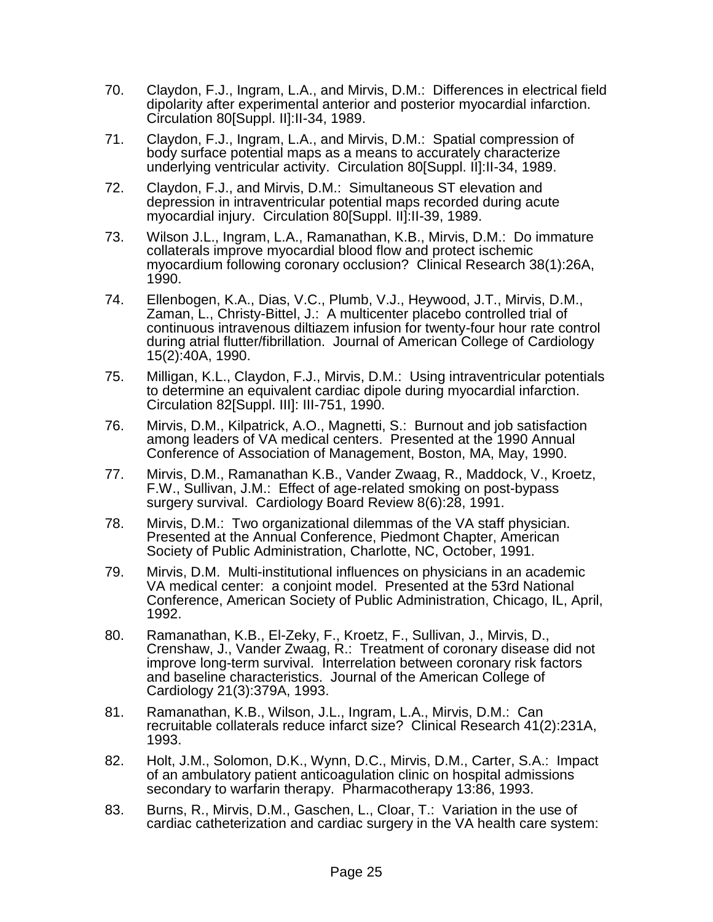- 70. Claydon, F.J., Ingram, L.A., and Mirvis, D.M.: Differences in electrical field dipolarity after experimental anterior and posterior myocardial infarction. Circulation 80[Suppl. II]:II-34, 1989.
- 71. Claydon, F.J., Ingram, L.A., and Mirvis, D.M.: Spatial compression of body surface potential maps as a means to accurately characterize underlying ventricular activity. Circulation 80[Suppl. II]:II-34, 1989.
- 72. Claydon, F.J., and Mirvis, D.M.: Simultaneous ST elevation and depression in intraventricular potential maps recorded during acute myocardial injury. Circulation 80[Suppl. II]:II-39, 1989.
- 73. Wilson J.L., Ingram, L.A., Ramanathan, K.B., Mirvis, D.M.: Do immature collaterals improve myocardial blood flow and protect ischemic myocardium following coronary occlusion? Clinical Research 38(1):26A, 1990.
- 74. Ellenbogen, K.A., Dias, V.C., Plumb, V.J., Heywood, J.T., Mirvis, D.M., Zaman, L., Christy-Bittel, J.: A multicenter placebo controlled trial of continuous intravenous diltiazem infusion for twenty-four hour rate control during atrial flutter/fibrillation. Journal of American College of Cardiology 15(2):40A, 1990.
- 75. Milligan, K.L., Claydon, F.J., Mirvis, D.M.: Using intraventricular potentials to determine an equivalent cardiac dipole during myocardial infarction. Circulation 82[Suppl. III]: III-751, 1990.
- 76. Mirvis, D.M., Kilpatrick, A.O., Magnetti, S.: Burnout and job satisfaction among leaders of VA medical centers. Presented at the 1990 Annual Conference of Association of Management, Boston, MA, May, 1990.
- 77. Mirvis, D.M., Ramanathan K.B., Vander Zwaag, R., Maddock, V., Kroetz, F.W., Sullivan, J.M.: Effect of age-related smoking on post-bypass surgery survival. Cardiology Board Review 8(6):28, 1991.
- 78. Mirvis, D.M.: Two organizational dilemmas of the VA staff physician. Presented at the Annual Conference, Piedmont Chapter, American Society of Public Administration, Charlotte, NC, October, 1991.
- 79. Mirvis, D.M. Multi-institutional influences on physicians in an academic VA medical center: a conjoint model. Presented at the 53rd National Conference, American Society of Public Administration, Chicago, IL, April, 1992.
- 80. Ramanathan, K.B., El-Zeky, F., Kroetz, F., Sullivan, J., Mirvis, D., Crenshaw, J., Vander Zwaag, R.: Treatment of coronary disease did not improve long-term survival. Interrelation between coronary risk factors and baseline characteristics. Journal of the American College of Cardiology 21(3):379A, 1993.
- 81. Ramanathan, K.B., Wilson, J.L., Ingram, L.A., Mirvis, D.M.: Can recruitable collaterals reduce infarct size? Clinical Research 41(2):231A, 1993.
- 82. Holt, J.M., Solomon, D.K., Wynn, D.C., Mirvis, D.M., Carter, S.A.: Impact of an ambulatory patient anticoagulation clinic on hospital admissions secondary to warfarin therapy. Pharmacotherapy 13:86, 1993.
- 83. Burns, R., Mirvis, D.M., Gaschen, L., Cloar, T.: Variation in the use of cardiac catheterization and cardiac surgery in the VA health care system: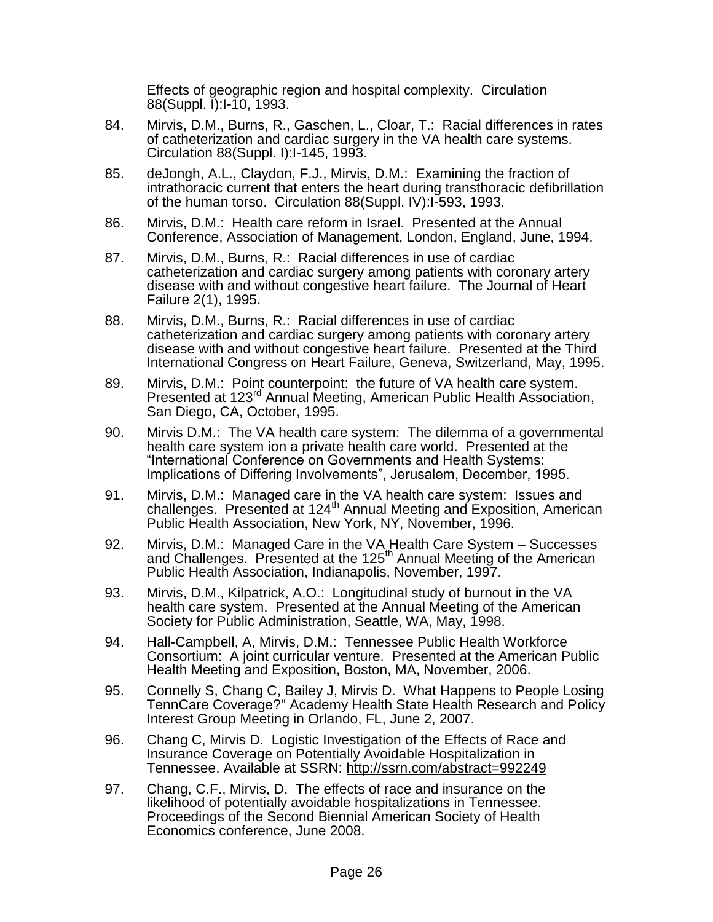Effects of geographic region and hospital complexity. Circulation 88(Suppl. I):I-10, 1993.

- 84. Mirvis, D.M., Burns, R., Gaschen, L., Cloar, T.: Racial differences in rates of catheterization and cardiac surgery in the VA health care systems. Circulation 88(Suppl. I):I-145, 1993.
- 85. deJongh, A.L., Claydon, F.J., Mirvis, D.M.: Examining the fraction of intrathoracic current that enters the heart during transthoracic defibrillation of the human torso. Circulation 88(Suppl. IV):I-593, 1993.
- 86. Mirvis, D.M.: Health care reform in Israel. Presented at the Annual Conference, Association of Management, London, England, June, 1994.
- 87. Mirvis, D.M., Burns, R.: Racial differences in use of cardiac catheterization and cardiac surgery among patients with coronary artery disease with and without congestive heart failure. The Journal of Heart Failure 2(1), 1995.
- 88. Mirvis, D.M., Burns, R.: Racial differences in use of cardiac catheterization and cardiac surgery among patients with coronary artery disease with and without congestive heart failure. Presented at the Third International Congress on Heart Failure, Geneva, Switzerland, May, 1995.
- 89. Mirvis, D.M.: Point counterpoint: the future of VA health care system. Presented at 123<sup>rd</sup> Annual Meeting, American Public Health Association, San Diego, CA, October, 1995.
- 90. Mirvis D.M.: The VA health care system: The dilemma of a governmental health care system ion a private health care world. Presented at the "International Conference on Governments and Health Systems: Implications of Differing Involvements", Jerusalem, December, 1995.
- 91. Mirvis, D.M.: Managed care in the VA health care system: Issues and challenges. Presented at 124<sup>th</sup> Annual Meeting and Exposition, American Public Health Association, New York, NY, November, 1996.
- 92. Mirvis, D.M.: Managed Care in the VA Health Care System Successes and Challenges. Presented at the 125<sup>th</sup> Annual Meeting of the American Public Health Association, Indianapolis, November, 1997.
- 93. Mirvis, D.M., Kilpatrick, A.O.: Longitudinal study of burnout in the VA health care system. Presented at the Annual Meeting of the American Society for Public Administration, Seattle, WA, May, 1998.
- 94. Hall-Campbell, A, Mirvis, D.M.: Tennessee Public Health Workforce Consortium: A joint curricular venture. Presented at the American Public Health Meeting and Exposition, Boston, MA, November, 2006.
- 95. Connelly S, Chang C, Bailey J, Mirvis D. What Happens to People Losing TennCare Coverage?" Academy Health State Health Research and Policy Interest Group Meeting in Orlando, FL, June 2, 2007.
- 96. Chang C, Mirvis D. Logistic Investigation of the Effects of Race and Insurance Coverage on Potentially Avoidable Hospitalization in Tennessee. Available at SSRN:<http://ssrn.com/abstract=992249>
- 97. Chang, C.F., Mirvis, D. The effects of race and insurance on the likelihood of potentially avoidable hospitalizations in Tennessee. Proceedings of the Second Biennial American Society of Health Economics conference, June 2008.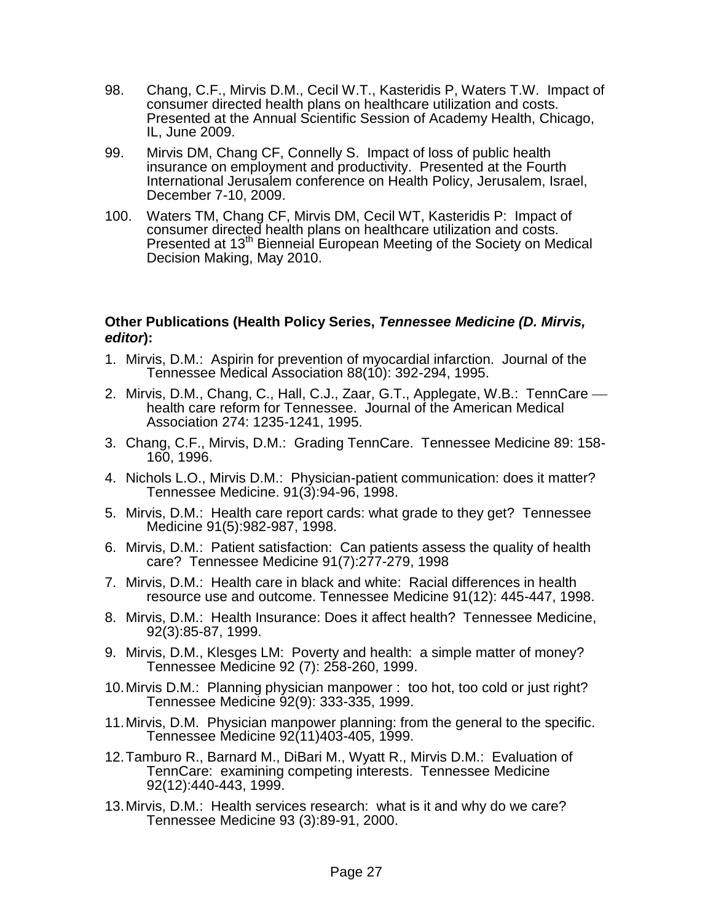- 98. Chang, C.F., Mirvis D.M., Cecil W.T., Kasteridis P, Waters T.W. Impact of consumer directed health plans on healthcare utilization and costs. Presented at the Annual Scientific Session of Academy Health, Chicago, IL, June 2009.
- 99. Mirvis DM, Chang CF, Connelly S. Impact of loss of public health insurance on employment and productivity. Presented at the Fourth International Jerusalem conference on Health Policy, Jerusalem, Israel, December 7-10, 2009.
- 100. Waters TM, Chang CF, Mirvis DM, Cecil WT, Kasteridis P: Impact of consumer directed health plans on healthcare utilization and costs. Presented at 13th Bienneial European Meeting of the Society on Medical Decision Making, May 2010.

#### **Other Publications (Health Policy Series,** *Tennessee Medicine (D. Mirvis, editor***):**

- 1. Mirvis, D.M.: Aspirin for prevention of myocardial infarction. Journal of the Tennessee Medical Association 88(10): 392-294, 1995.
- 2. Mirvis, D.M., Chang, C., Hall, C.J., Zaar, G.T., Applegate, W.B.: TennCare health care reform for Tennessee. Journal of the American Medical Association 274: 1235-1241, 1995.
- 3. Chang, C.F., Mirvis, D.M.: Grading TennCare. Tennessee Medicine 89: 158- 160, 1996.
- 4. Nichols L.O., Mirvis D.M.: Physician-patient communication: does it matter? Tennessee Medicine. 91(3):94-96, 1998.
- 5. Mirvis, D.M.: Health care report cards: what grade to they get? Tennessee Medicine 91(5):982-987, 1998.
- 6. Mirvis, D.M.: Patient satisfaction: Can patients assess the quality of health care? Tennessee Medicine 91(7):277-279, 1998
- 7. Mirvis, D.M.: Health care in black and white: Racial differences in health resource use and outcome. Tennessee Medicine 91(12): 445-447, 1998.
- 8. Mirvis, D.M.: Health Insurance: Does it affect health? Tennessee Medicine, 92(3):85-87, 1999.
- 9. Mirvis, D.M., Klesges LM: Poverty and health: a simple matter of money? Tennessee Medicine 92 (7): 258-260, 1999.
- 10.Mirvis D.M.: Planning physician manpower : too hot, too cold or just right? Tennessee Medicine 92(9): 333-335, 1999.
- 11.Mirvis, D.M. Physician manpower planning: from the general to the specific. Tennessee Medicine 92(11)403-405, 1999.
- 12.Tamburo R., Barnard M., DiBari M., Wyatt R., Mirvis D.M.: Evaluation of TennCare: examining competing interests. Tennessee Medicine 92(12):440-443, 1999.
- 13.Mirvis, D.M.: Health services research: what is it and why do we care? Tennessee Medicine 93 (3):89-91, 2000.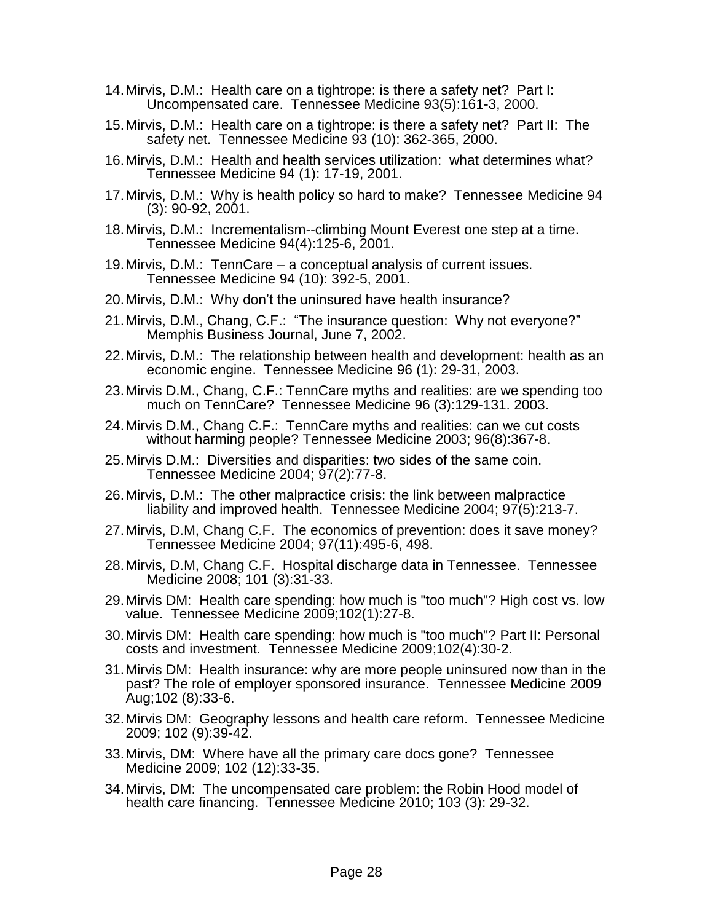- 14.Mirvis, D.M.: Health care on a tightrope: is there a safety net? Part I: Uncompensated care. Tennessee Medicine 93(5):161-3, 2000.
- 15.Mirvis, D.M.: Health care on a tightrope: is there a safety net? Part II: The safety net. Tennessee Medicine 93 (10): 362-365, 2000.
- 16.Mirvis, D.M.: Health and health services utilization: what determines what? Tennessee Medicine 94 (1): 17-19, 2001.
- 17.Mirvis, D.M.: Why is health policy so hard to make? Tennessee Medicine 94  $(3)$ : 90-92, 2001.
- 18.Mirvis, D.M.: Incrementalism--climbing Mount Everest one step at a time. Tennessee Medicine 94(4):125-6, 2001.
- 19.Mirvis, D.M.: TennCare a conceptual analysis of current issues. Tennessee Medicine 94 (10): 392-5, 2001.
- 20.Mirvis, D.M.: Why don't the uninsured have health insurance?
- 21.Mirvis, D.M., Chang, C.F.: "The insurance question: Why not everyone?" Memphis Business Journal, June 7, 2002.
- 22.Mirvis, D.M.: The relationship between health and development: health as an economic engine. Tennessee Medicine 96 (1): 29-31, 2003.
- 23.Mirvis D.M., Chang, C.F.: TennCare myths and realities: are we spending too much on TennCare? Tennessee Medicine 96 (3):129-131. 2003.
- 24.Mirvis D.M., Chang C.F.: TennCare myths and realities: can we cut costs without harming people? Tennessee Medicine 2003; 96(8):367-8.
- 25.Mirvis D.M.: Diversities and disparities: two sides of the same coin. Tennessee Medicine 2004; 97(2):77-8.
- 26.Mirvis, D.M.: The other malpractice crisis: the link between malpractice liability and improved health. Tennessee Medicine 2004; 97(5):213-7.
- 27.Mirvis, D.M, Chang C.F. The economics of prevention: does it save money? Tennessee Medicine 2004; 97(11):495-6, 498.
- 28.Mirvis, D.M, Chang C.F. Hospital discharge data in Tennessee. Tennessee Medicine 2008; 101 (3):31-33.
- 29.Mirvis DM: [Health care spending: how much is "too much"? High cost vs. low](http://www.ncbi.nlm.nih.gov/pubmed/19181125?ordinalpos=3&itool=EntrezSystem2.PEntrez.Pubmed.Pubmed_ResultsPanel.Pubmed_DefaultReportPanel.Pubmed_RVDocSum)  [value.](http://www.ncbi.nlm.nih.gov/pubmed/19181125?ordinalpos=3&itool=EntrezSystem2.PEntrez.Pubmed.Pubmed_ResultsPanel.Pubmed_DefaultReportPanel.Pubmed_RVDocSum) Tennessee Medicine 2009;102(1):27-8.
- 30.Mirvis DM: [Health care spending: how much is "too much"? Part II: Personal](http://www.ncbi.nlm.nih.gov/pubmed/19181125?ordinalpos=3&itool=EntrezSystem2.PEntrez.Pubmed.Pubmed_ResultsPanel.Pubmed_DefaultReportPanel.Pubmed_RVDocSum)  [costs and investment.](http://www.ncbi.nlm.nih.gov/pubmed/19181125?ordinalpos=3&itool=EntrezSystem2.PEntrez.Pubmed.Pubmed_ResultsPanel.Pubmed_DefaultReportPanel.Pubmed_RVDocSum) Tennessee Medicine 2009;102(4):30-2.
- 31.Mirvis DM: [Health insurance: why are more people uninsured now than in the](http://www.ncbi.nlm.nih.gov/pubmed/19691198?ordinalpos=1&itool=EntrezSystem2.PEntrez.Pubmed.Pubmed_ResultsPanel.Pubmed_DefaultReportPanel.Pubmed_RVDocSum)  [past? The role of employer sponsored insurance.](http://www.ncbi.nlm.nih.gov/pubmed/19691198?ordinalpos=1&itool=EntrezSystem2.PEntrez.Pubmed.Pubmed_ResultsPanel.Pubmed_DefaultReportPanel.Pubmed_RVDocSum) Tennessee Medicine 2009 Aug;102 (8):33-6.
- 32.Mirvis DM: Geography lessons and health care reform. Tennessee Medicine 2009; 102 (9):39-42.
- 33.Mirvis, DM: Where have all the primary care docs gone? Tennessee Medicine 2009; 102 (12):33-35.
- 34.Mirvis, DM: The uncompensated care problem: the Robin Hood model of health care financing. Tennessee Medicine 2010; 103 (3): 29-32.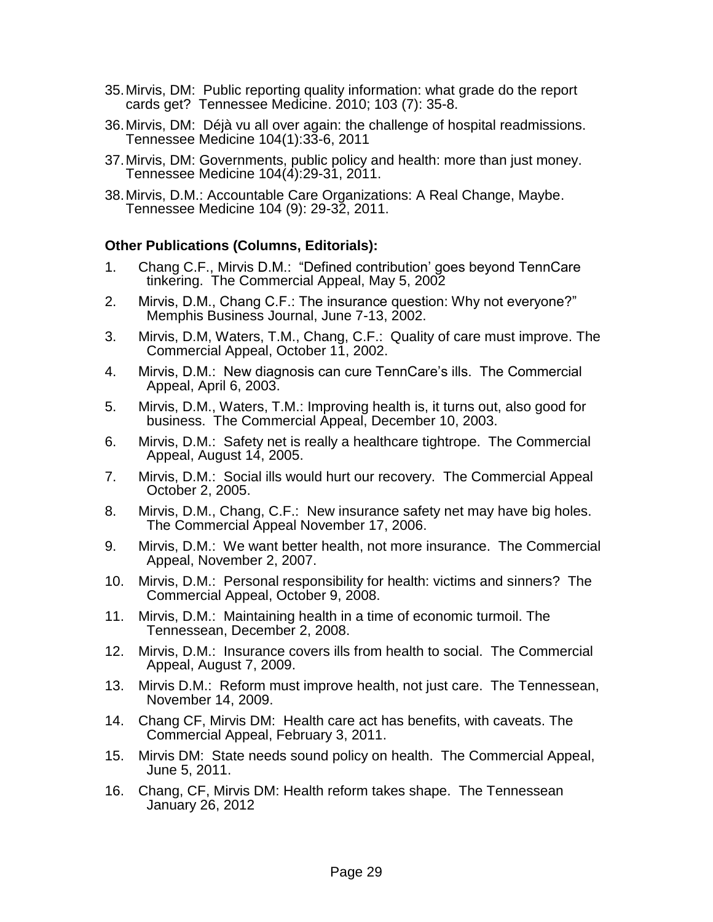- 35.Mirvis, DM: [Public reporting quality information: what grade do the report](http://www.ncbi.nlm.nih.gov/pubmed/20853636)  [cards get?](http://www.ncbi.nlm.nih.gov/pubmed/20853636) Tennessee Medicine. 2010; 103 (7): 35-8.
- 36.Mirvis, DM: [Déjà vu all over again: the challenge of hospital readmissions.](http://www.ncbi.nlm.nih.gov/pubmed/21314058)  Tennessee Medicine 104(1):33-6, 2011
- 37.Mirvis, DM: Governments, public policy and health: more than just money. [Tennessee](http://www.ncbi.nlm.nih.gov/pubmed/21560906) Medicine 104(4):29-31, 2011.
- 38.Mirvis, D.M.: Accountable Care Organizations: A Real Change, Maybe. Tennessee Medicine 104 (9): 29-32, 2011.

#### **Other Publications (Columns, Editorials):**

- 1. Chang C.F., Mirvis D.M.: "Defined contribution' goes beyond TennCare tinkering. The Commercial Appeal, May 5, 2002
- 2. Mirvis, D.M., Chang C.F.: The insurance question: Why not everyone?" Memphis Business Journal, June 7-13, 2002.
- 3. Mirvis, D.M, Waters, T.M., Chang, C.F.: Quality of care must improve. The Commercial Appeal, October 11, 2002.
- 4. Mirvis, D.M.: New diagnosis can cure TennCare's ills. The Commercial Appeal, April 6, 2003.
- 5. Mirvis, D.M., Waters, T.M.: Improving health is, it turns out, also good for business. The Commercial Appeal, December 10, 2003.
- 6. Mirvis, D.M.: Safety net is really a healthcare tightrope. The Commercial Appeal, August 14, 2005.
- 7. Mirvis, D.M.: Social ills would hurt our recovery. The Commercial Appeal October 2, 2005.
- 8. Mirvis, D.M., Chang, C.F.: New insurance safety net may have big holes. The Commercial Appeal November 17, 2006.
- 9. Mirvis, D.M.: We want better health, not more insurance. The Commercial Appeal, November 2, 2007.
- 10. Mirvis, D.M.: Personal responsibility for health: victims and sinners? The Commercial Appeal, October 9, 2008.
- 11. Mirvis, D.M.: Maintaining health in a time of economic turmoil. The Tennessean, December 2, 2008.
- 12. Mirvis, D.M.: Insurance covers ills from health to social. The Commercial Appeal, August 7, 2009.
- 13. Mirvis D.M.: Reform must improve health, not just care. The Tennessean, November 14, 2009.
- 14. Chang CF, Mirvis DM: Health care act has benefits, with caveats. The Commercial Appeal, February 3, 2011.
- 15. Mirvis DM: State needs sound policy on health. The Commercial Appeal, June 5, 2011.
- 16. Chang, CF, Mirvis DM: Health reform takes shape. The Tennessean January 26, 2012